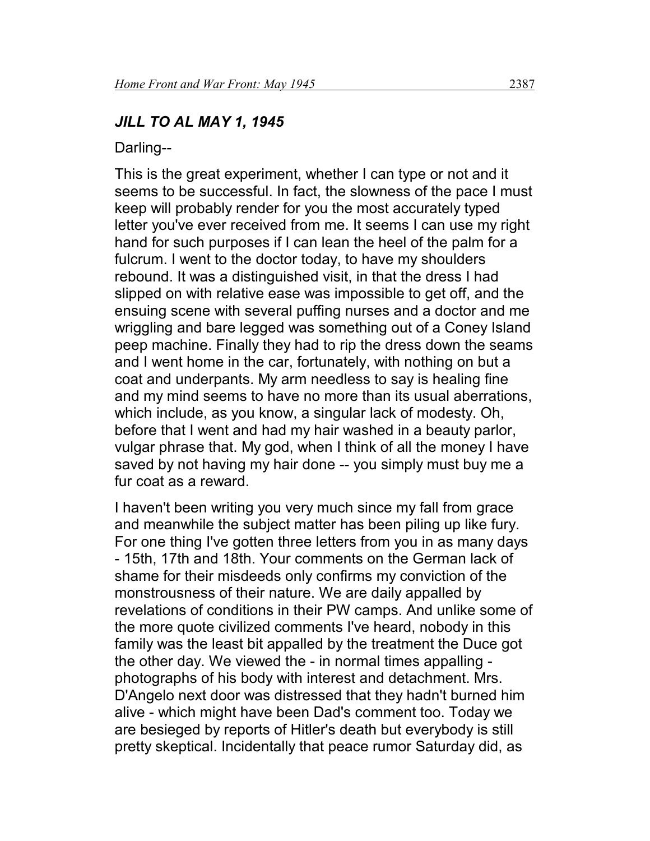#### *JILL TO AL MAY 1, 1945*

Darling--

This is the great experiment, whether I can type or not and it seems to be successful. In fact, the slowness of the pace I must keep will probably render for you the most accurately typed letter you've ever received from me. It seems I can use my right hand for such purposes if I can lean the heel of the palm for a fulcrum. I went to the doctor today, to have my shoulders rebound. It was a distinguished visit, in that the dress I had slipped on with relative ease was impossible to get off, and the ensuing scene with several puffing nurses and a doctor and me wriggling and bare legged was something out of a Coney Island peep machine. Finally they had to rip the dress down the seams and I went home in the car, fortunately, with nothing on but a coat and underpants. My arm needless to say is healing fine and my mind seems to have no more than its usual aberrations, which include, as you know, a singular lack of modesty. Oh, before that I went and had my hair washed in a beauty parlor, vulgar phrase that. My god, when I think of all the money I have saved by not having my hair done -- you simply must buy me a fur coat as a reward.

I haven't been writing you very much since my fall from grace and meanwhile the subject matter has been piling up like fury. For one thing I've gotten three letters from you in as many days - 15th, 17th and 18th. Your comments on the German lack of shame for their misdeeds only confirms my conviction of the monstrousness of their nature. We are daily appalled by revelations of conditions in their PW camps. And unlike some of the more quote civilized comments I've heard, nobody in this family was the least bit appalled by the treatment the Duce got the other day. We viewed the - in normal times appalling photographs of his body with interest and detachment. Mrs. D'Angelo next door was distressed that they hadn't burned him alive - which might have been Dad's comment too. Today we are besieged by reports of Hitler's death but everybody is still pretty skeptical. Incidentally that peace rumor Saturday did, as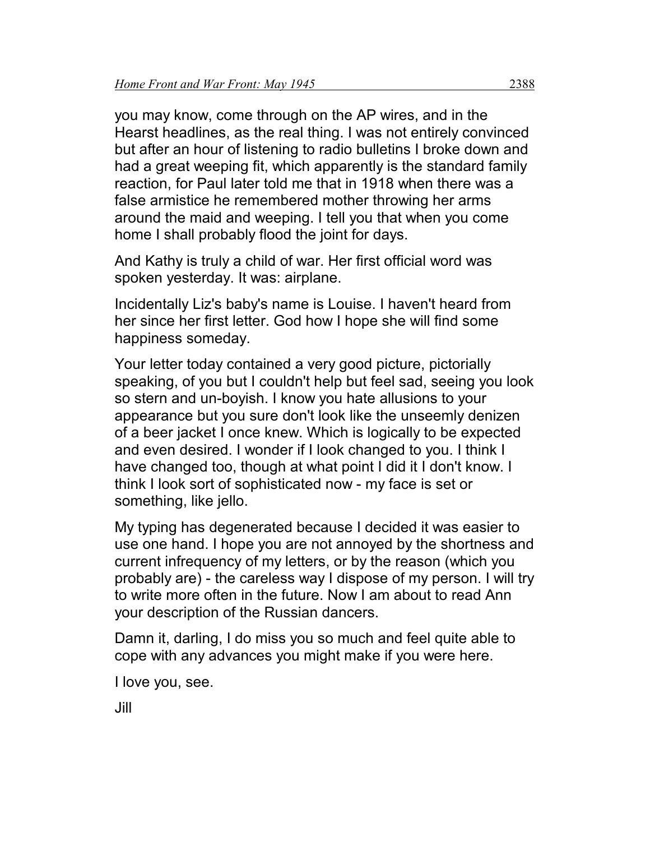you may know, come through on the AP wires, and in the Hearst headlines, as the real thing. I was not entirely convinced but after an hour of listening to radio bulletins I broke down and had a great weeping fit, which apparently is the standard family reaction, for Paul later told me that in 1918 when there was a false armistice he remembered mother throwing her arms around the maid and weeping. I tell you that when you come home I shall probably flood the joint for days.

And Kathy is truly a child of war. Her first official word was spoken yesterday. It was: airplane.

Incidentally Liz's baby's name is Louise. I haven't heard from her since her first letter. God how I hope she will find some happiness someday.

Your letter today contained a very good picture, pictorially speaking, of you but I couldn't help but feel sad, seeing you look so stern and un-boyish. I know you hate allusions to your appearance but you sure don't look like the unseemly denizen of a beer jacket I once knew. Which is logically to be expected and even desired. I wonder if I look changed to you. I think I have changed too, though at what point I did it I don't know. I think I look sort of sophisticated now - my face is set or something, like jello.

My typing has degenerated because I decided it was easier to use one hand. I hope you are not annoyed by the shortness and current infrequency of my letters, or by the reason (which you probably are) - the careless way I dispose of my person. I will try to write more often in the future. Now I am about to read Ann your description of the Russian dancers.

Damn it, darling, I do miss you so much and feel quite able to cope with any advances you might make if you were here.

I love you, see.

Jill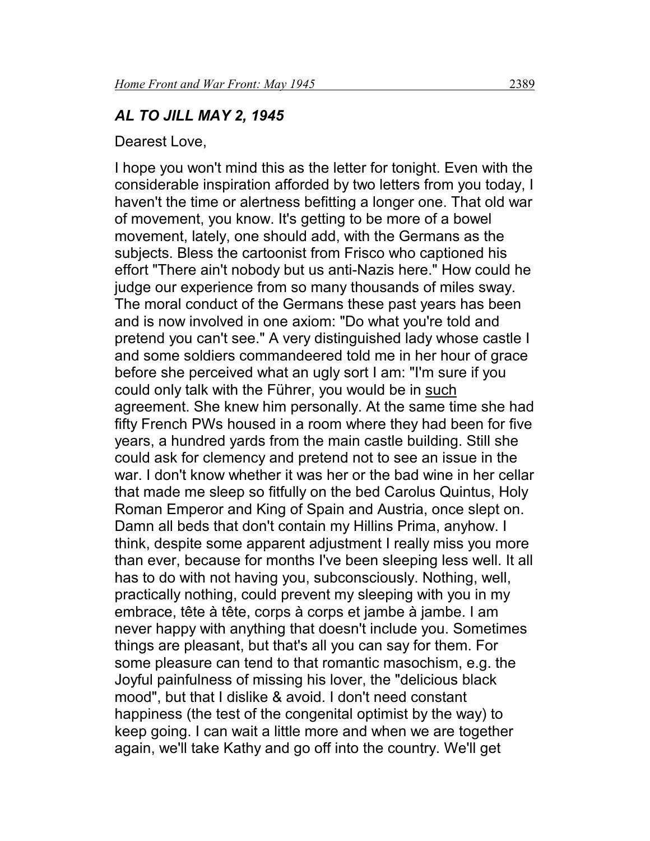#### *AL TO JILL MAY 2, 1945*

Dearest Love,

I hope you won't mind this as the letter for tonight. Even with the considerable inspiration afforded by two letters from you today, I haven't the time or alertness befitting a longer one. That old war of movement, you know. It's getting to be more of a bowel movement, lately, one should add, with the Germans as the subjects. Bless the cartoonist from Frisco who captioned his effort "There ain't nobody but us anti-Nazis here." How could he judge our experience from so many thousands of miles sway. The moral conduct of the Germans these past years has been and is now involved in one axiom: "Do what you're told and pretend you can't see." A very distinguished lady whose castle I and some soldiers commandeered told me in her hour of grace before she perceived what an ugly sort I am: "I'm sure if you could only talk with the Führer, you would be in such agreement. She knew him personally. At the same time she had fifty French PWs housed in a room where they had been for five years, a hundred yards from the main castle building. Still she could ask for clemency and pretend not to see an issue in the war. I don't know whether it was her or the bad wine in her cellar that made me sleep so fitfully on the bed Carolus Quintus, Holy Roman Emperor and King of Spain and Austria, once slept on. Damn all beds that don't contain my Hillins Prima, anyhow. I think, despite some apparent adjustment I really miss you more than ever, because for months I've been sleeping less well. It all has to do with not having you, subconsciously. Nothing, well, practically nothing, could prevent my sleeping with you in my embrace, tête à tête, corps à corps et jambe à jambe. I am never happy with anything that doesn't include you. Sometimes things are pleasant, but that's all you can say for them. For some pleasure can tend to that romantic masochism, e.g. the Joyful painfulness of missing his lover, the "delicious black mood", but that I dislike & avoid. I don't need constant happiness (the test of the congenital optimist by the way) to keep going. I can wait a little more and when we are together again, we'll take Kathy and go off into the country. We'll get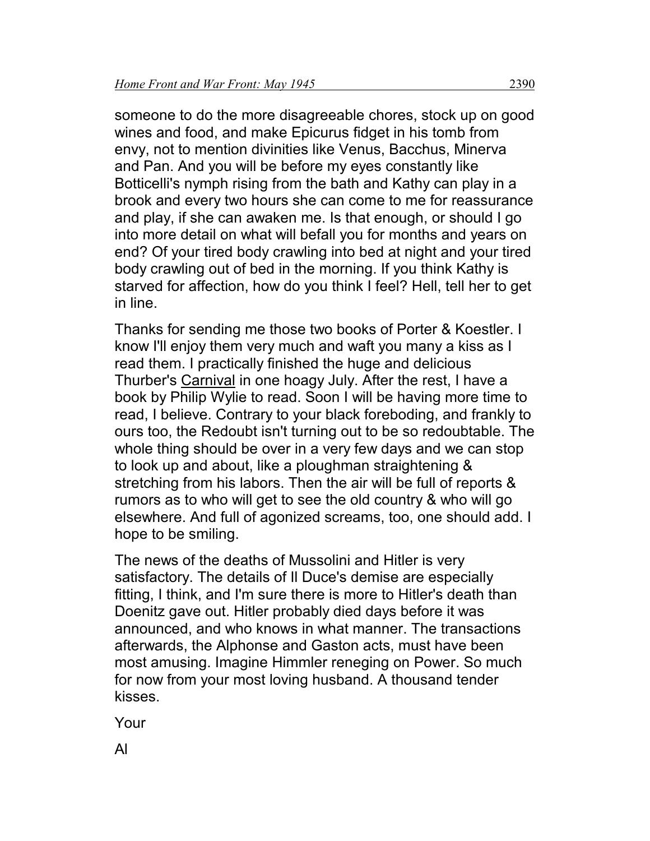someone to do the more disagreeable chores, stock up on good wines and food, and make Epicurus fidget in his tomb from envy, not to mention divinities like Venus, Bacchus, Minerva and Pan. And you will be before my eyes constantly like Botticelli's nymph rising from the bath and Kathy can play in a brook and every two hours she can come to me for reassurance and play, if she can awaken me. Is that enough, or should I go into more detail on what will befall you for months and years on end? Of your tired body crawling into bed at night and your tired body crawling out of bed in the morning. If you think Kathy is starved for affection, how do you think I feel? Hell, tell her to get in line.

Thanks for sending me those two books of Porter & Koestler. I know I'll enjoy them very much and waft you many a kiss as I read them. I practically finished the huge and delicious Thurber's Carnival in one hoagy July. After the rest, I have a book by Philip Wylie to read. Soon I will be having more time to read, I believe. Contrary to your black foreboding, and frankly to ours too, the Redoubt isn't turning out to be so redoubtable. The whole thing should be over in a very few days and we can stop to look up and about, like a ploughman straightening & stretching from his labors. Then the air will be full of reports & rumors as to who will get to see the old country & who will go elsewhere. And full of agonized screams, too, one should add. I hope to be smiling.

The news of the deaths of Mussolini and Hitler is very satisfactory. The details of Il Duce's demise are especially fitting, I think, and I'm sure there is more to Hitler's death than Doenitz gave out. Hitler probably died days before it was announced, and who knows in what manner. The transactions afterwards, the Alphonse and Gaston acts, must have been most amusing. Imagine Himmler reneging on Power. So much for now from your most loving husband. A thousand tender kisses.

Your

Al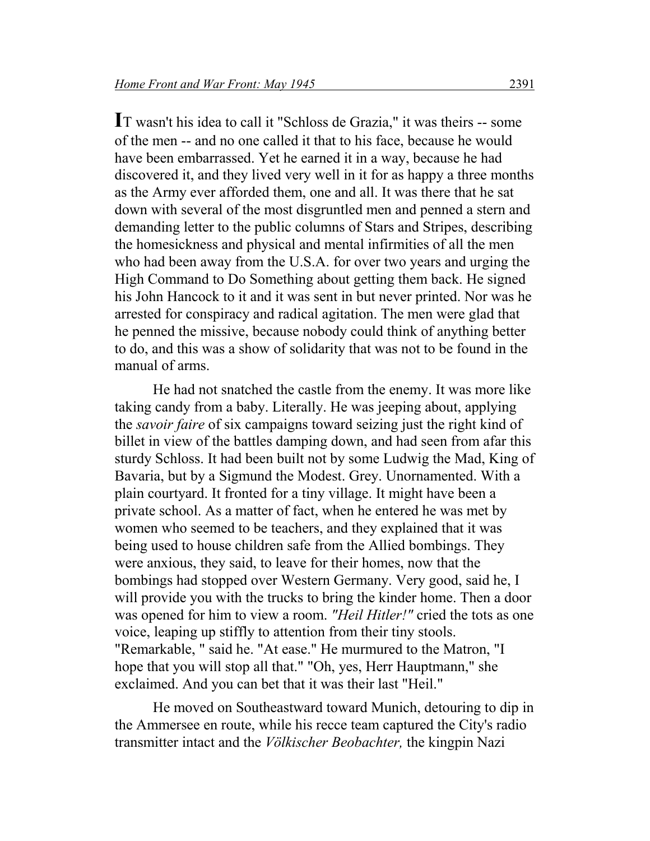**I**T wasn't his idea to call it "Schloss de Grazia," it was theirs -- some of the men -- and no one called it that to his face, because he would have been embarrassed. Yet he earned it in a way, because he had discovered it, and they lived very well in it for as happy a three months as the Army ever afforded them, one and all. It was there that he sat down with several of the most disgruntled men and penned a stern and demanding letter to the public columns of Stars and Stripes, describing the homesickness and physical and mental infirmities of all the men who had been away from the U.S.A. for over two years and urging the High Command to Do Something about getting them back. He signed his John Hancock to it and it was sent in but never printed. Nor was he arrested for conspiracy and radical agitation. The men were glad that he penned the missive, because nobody could think of anything better to do, and this was a show of solidarity that was not to be found in the manual of arms.

He had not snatched the castle from the enemy. It was more like taking candy from a baby. Literally. He was jeeping about, applying the *savoir faire* of six campaigns toward seizing just the right kind of billet in view of the battles damping down, and had seen from afar this sturdy Schloss. It had been built not by some Ludwig the Mad, King of Bavaria, but by a Sigmund the Modest. Grey. Unornamented. With a plain courtyard. It fronted for a tiny village. It might have been a private school. As a matter of fact, when he entered he was met by women who seemed to be teachers, and they explained that it was being used to house children safe from the Allied bombings. They were anxious, they said, to leave for their homes, now that the bombings had stopped over Western Germany. Very good, said he, I will provide you with the trucks to bring the kinder home. Then a door was opened for him to view a room. *"Heil Hitler!"* cried the tots as one voice, leaping up stiffly to attention from their tiny stools. "Remarkable, " said he. "At ease." He murmured to the Matron, "I hope that you will stop all that." "Oh, yes, Herr Hauptmann," she exclaimed. And you can bet that it was their last "Heil."

He moved on Southeastward toward Munich, detouring to dip in the Ammersee en route, while his recce team captured the City's radio transmitter intact and the *Völkischer Beobachter,* the kingpin Nazi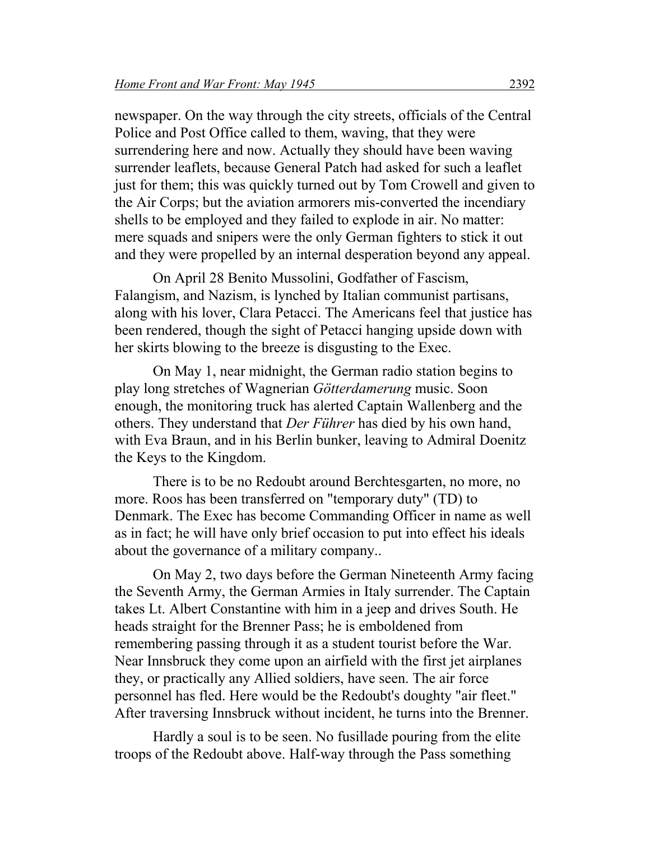newspaper. On the way through the city streets, officials of the Central Police and Post Office called to them, waving, that they were surrendering here and now. Actually they should have been waving surrender leaflets, because General Patch had asked for such a leaflet just for them; this was quickly turned out by Tom Crowell and given to the Air Corps; but the aviation armorers mis-converted the incendiary shells to be employed and they failed to explode in air. No matter: mere squads and snipers were the only German fighters to stick it out and they were propelled by an internal desperation beyond any appeal.

On April 28 Benito Mussolini, Godfather of Fascism, Falangism, and Nazism, is lynched by Italian communist partisans, along with his lover, Clara Petacci. The Americans feel that justice has been rendered, though the sight of Petacci hanging upside down with her skirts blowing to the breeze is disgusting to the Exec.

On May 1, near midnight, the German radio station begins to play long stretches of Wagnerian *Götterdamerung* music. Soon enough, the monitoring truck has alerted Captain Wallenberg and the others. They understand that *Der Führer* has died by his own hand, with Eva Braun, and in his Berlin bunker, leaving to Admiral Doenitz the Keys to the Kingdom.

There is to be no Redoubt around Berchtesgarten, no more, no more. Roos has been transferred on "temporary duty" (TD) to Denmark. The Exec has become Commanding Officer in name as well as in fact; he will have only brief occasion to put into effect his ideals about the governance of a military company..

On May 2, two days before the German Nineteenth Army facing the Seventh Army, the German Armies in Italy surrender. The Captain takes Lt. Albert Constantine with him in a jeep and drives South. He heads straight for the Brenner Pass; he is emboldened from remembering passing through it as a student tourist before the War. Near Innsbruck they come upon an airfield with the first jet airplanes they, or practically any Allied soldiers, have seen. The air force personnel has fled. Here would be the Redoubt's doughty "air fleet." After traversing Innsbruck without incident, he turns into the Brenner.

Hardly a soul is to be seen. No fusillade pouring from the elite troops of the Redoubt above. Half-way through the Pass something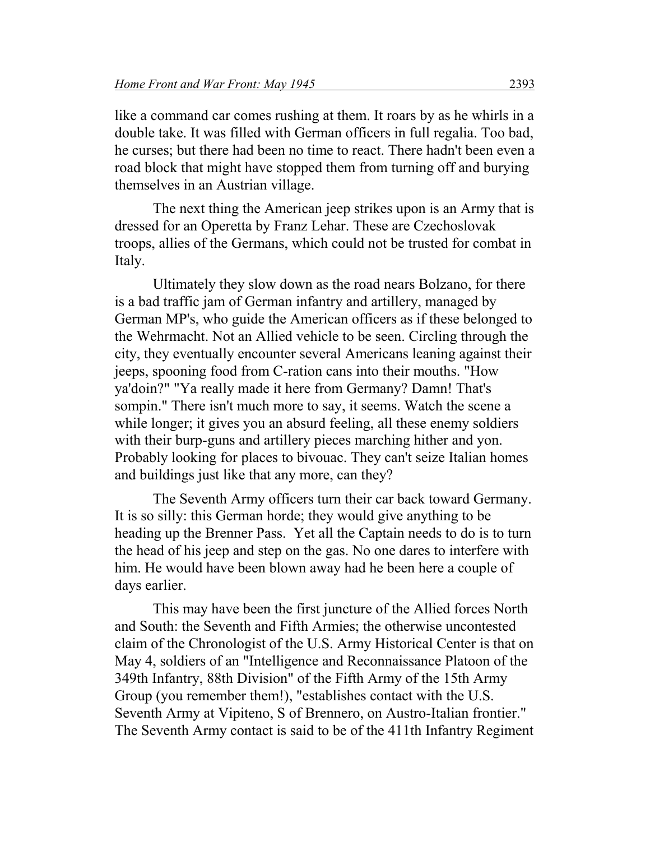like a command car comes rushing at them. It roars by as he whirls in a double take. It was filled with German officers in full regalia. Too bad, he curses; but there had been no time to react. There hadn't been even a road block that might have stopped them from turning off and burying themselves in an Austrian village.

The next thing the American jeep strikes upon is an Army that is dressed for an Operetta by Franz Lehar. These are Czechoslovak troops, allies of the Germans, which could not be trusted for combat in Italy.

Ultimately they slow down as the road nears Bolzano, for there is a bad traffic jam of German infantry and artillery, managed by German MP's, who guide the American officers as if these belonged to the Wehrmacht. Not an Allied vehicle to be seen. Circling through the city, they eventually encounter several Americans leaning against their jeeps, spooning food from C-ration cans into their mouths. "How ya'doin?" "Ya really made it here from Germany? Damn! That's sompin." There isn't much more to say, it seems. Watch the scene a while longer; it gives you an absurd feeling, all these enemy soldiers with their burp-guns and artillery pieces marching hither and yon. Probably looking for places to bivouac. They can't seize Italian homes and buildings just like that any more, can they?

The Seventh Army officers turn their car back toward Germany. It is so silly: this German horde; they would give anything to be heading up the Brenner Pass. Yet all the Captain needs to do is to turn the head of his jeep and step on the gas. No one dares to interfere with him. He would have been blown away had he been here a couple of days earlier.

This may have been the first juncture of the Allied forces North and South: the Seventh and Fifth Armies; the otherwise uncontested claim of the Chronologist of the U.S. Army Historical Center is that on May 4, soldiers of an "Intelligence and Reconnaissance Platoon of the 349th Infantry, 88th Division" of the Fifth Army of the 15th Army Group (you remember them!), "establishes contact with the U.S. Seventh Army at Vipiteno, S of Brennero, on Austro-Italian frontier." The Seventh Army contact is said to be of the 411th Infantry Regiment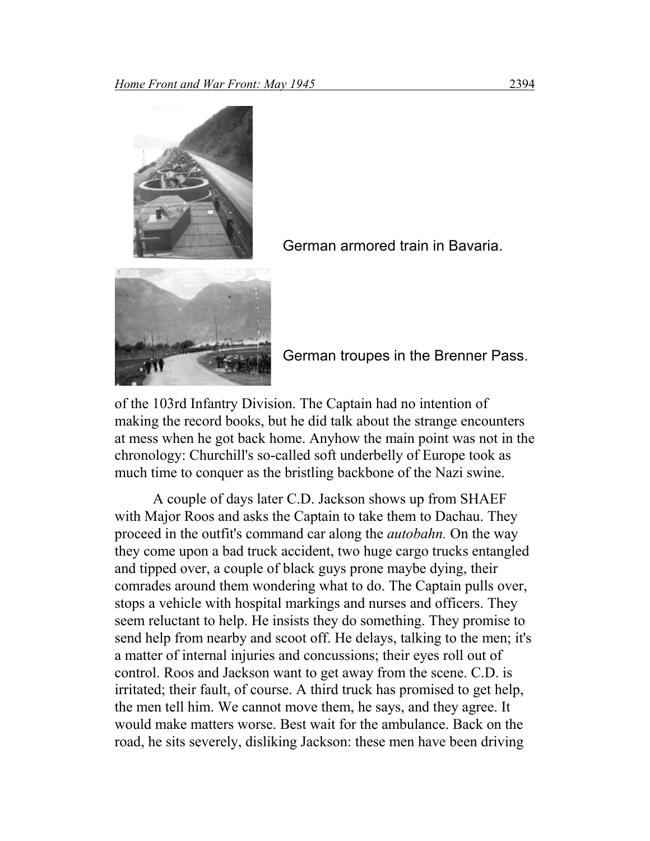

German armored train in Bavaria.

German troupes in the Brenner Pass.

of the 103rd Infantry Division. The Captain had no intention of making the record books, but he did talk about the strange encounters at mess when he got back home. Anyhow the main point was not in the chronology: Churchill's so-called soft underbelly of Europe took as much time to conquer as the bristling backbone of the Nazi swine.

A couple of days later C.D. Jackson shows up from SHAEF with Major Roos and asks the Captain to take them to Dachau. They proceed in the outfit's command car along the *autobahn.* On the way they come upon a bad truck accident, two huge cargo trucks entangled and tipped over, a couple of black guys prone maybe dying, their comrades around them wondering what to do. The Captain pulls over, stops a vehicle with hospital markings and nurses and officers. They seem reluctant to help. He insists they do something. They promise to send help from nearby and scoot off. He delays, talking to the men; it's a matter of internal injuries and concussions; their eyes roll out of control. Roos and Jackson want to get away from the scene. C.D. is irritated; their fault, of course. A third truck has promised to get help, the men tell him. We cannot move them, he says, and they agree. It would make matters worse. Best wait for the ambulance. Back on the road, he sits severely, disliking Jackson: these men have been driving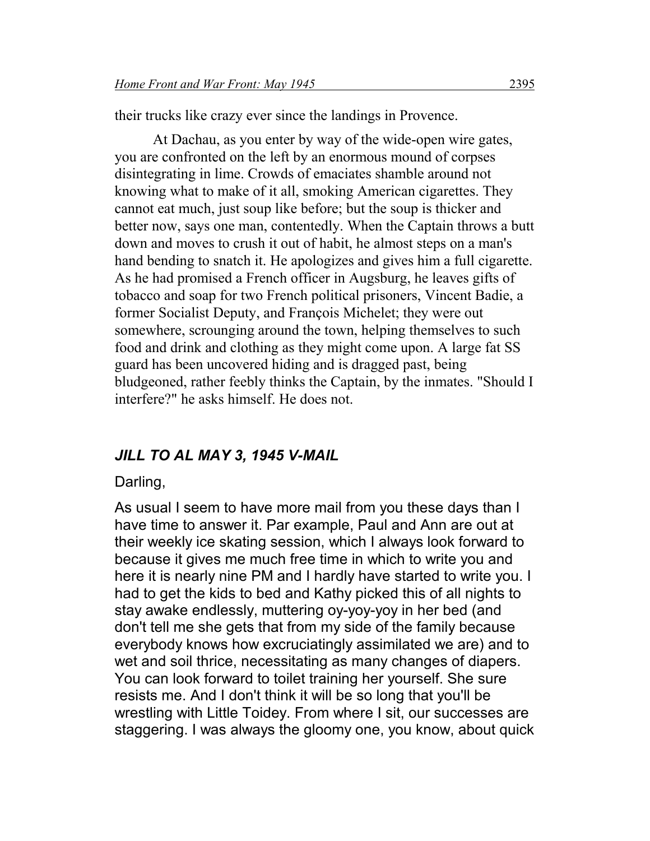their trucks like crazy ever since the landings in Provence.

At Dachau, as you enter by way of the wide-open wire gates, you are confronted on the left by an enormous mound of corpses disintegrating in lime. Crowds of emaciates shamble around not knowing what to make of it all, smoking American cigarettes. They cannot eat much, just soup like before; but the soup is thicker and better now, says one man, contentedly. When the Captain throws a butt down and moves to crush it out of habit, he almost steps on a man's hand bending to snatch it. He apologizes and gives him a full cigarette. As he had promised a French officer in Augsburg, he leaves gifts of tobacco and soap for two French political prisoners, Vincent Badie, a former Socialist Deputy, and François Michelet; they were out somewhere, scrounging around the town, helping themselves to such food and drink and clothing as they might come upon. A large fat SS guard has been uncovered hiding and is dragged past, being bludgeoned, rather feebly thinks the Captain, by the inmates. "Should I interfere?" he asks himself. He does not.

#### *JILL TO AL MAY 3, 1945 V-MAIL*

#### Darling,

As usual I seem to have more mail from you these days than I have time to answer it. Par example, Paul and Ann are out at their weekly ice skating session, which I always look forward to because it gives me much free time in which to write you and here it is nearly nine PM and I hardly have started to write you. I had to get the kids to bed and Kathy picked this of all nights to stay awake endlessly, muttering oy-yoy-yoy in her bed (and don't tell me she gets that from my side of the family because everybody knows how excruciatingly assimilated we are) and to wet and soil thrice, necessitating as many changes of diapers. You can look forward to toilet training her yourself. She sure resists me. And I don't think it will be so long that you'll be wrestling with Little Toidey. From where I sit, our successes are staggering. I was always the gloomy one, you know, about quick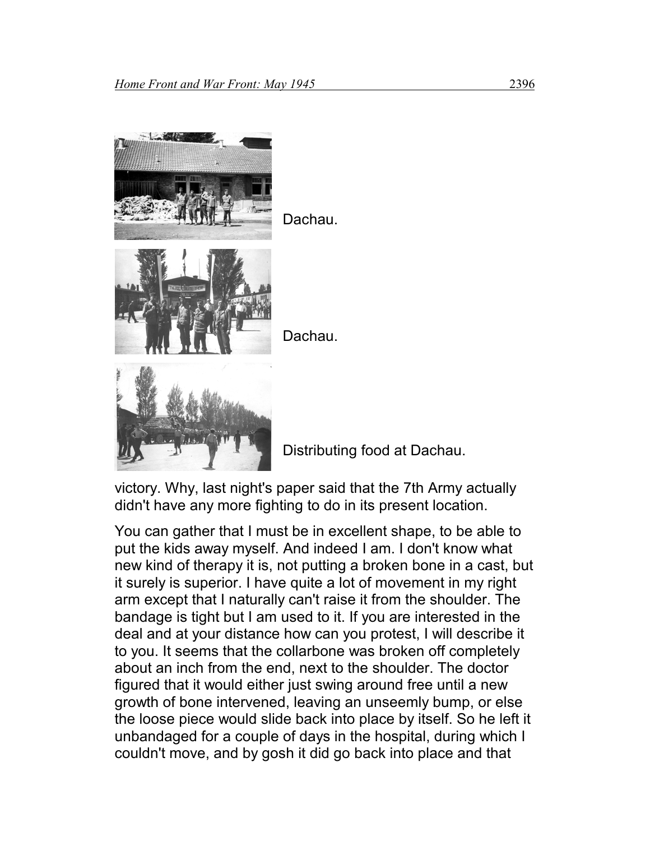

Dachau.



Dachau.



Distributing food at Dachau.

victory. Why, last night's paper said that the 7th Army actually didn't have any more fighting to do in its present location.

You can gather that I must be in excellent shape, to be able to put the kids away myself. And indeed I am. I don't know what new kind of therapy it is, not putting a broken bone in a cast, but it surely is superior. I have quite a lot of movement in my right arm except that I naturally can't raise it from the shoulder. The bandage is tight but I am used to it. If you are interested in the deal and at your distance how can you protest, I will describe it to you. It seems that the collarbone was broken off completely about an inch from the end, next to the shoulder. The doctor figured that it would either just swing around free until a new growth of bone intervened, leaving an unseemly bump, or else the loose piece would slide back into place by itself. So he left it unbandaged for a couple of days in the hospital, during which I couldn't move, and by gosh it did go back into place and that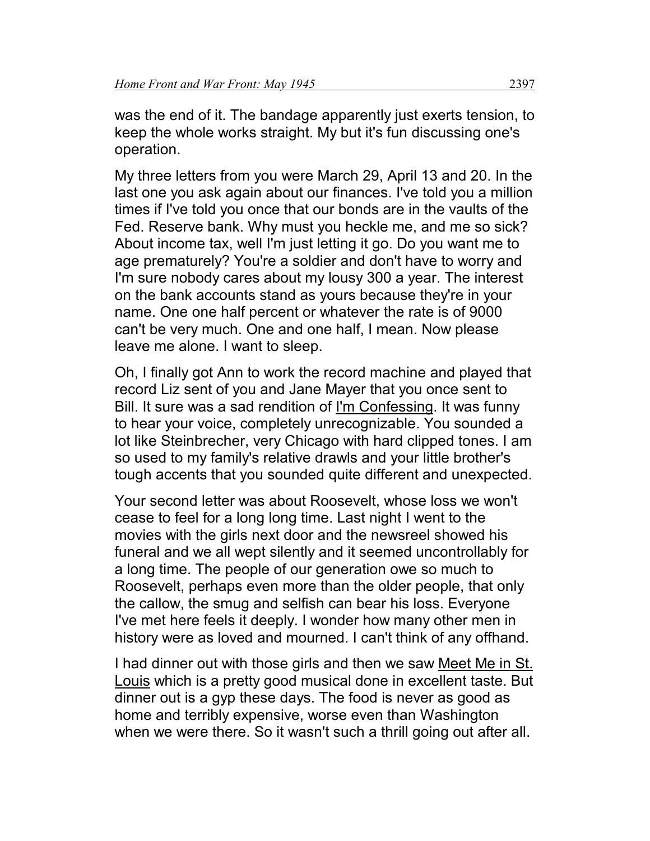was the end of it. The bandage apparently just exerts tension, to keep the whole works straight. My but it's fun discussing one's operation.

My three letters from you were March 29, April 13 and 20. In the last one you ask again about our finances. I've told you a million times if I've told you once that our bonds are in the vaults of the Fed. Reserve bank. Why must you heckle me, and me so sick? About income tax, well I'm just letting it go. Do you want me to age prematurely? You're a soldier and don't have to worry and I'm sure nobody cares about my lousy 300 a year. The interest on the bank accounts stand as yours because they're in your name. One one half percent or whatever the rate is of 9000 can't be very much. One and one half, I mean. Now please leave me alone. I want to sleep.

Oh, I finally got Ann to work the record machine and played that record Liz sent of you and Jane Mayer that you once sent to Bill. It sure was a sad rendition of I'm Confessing. It was funny to hear your voice, completely unrecognizable. You sounded a lot like Steinbrecher, very Chicago with hard clipped tones. I am so used to my family's relative drawls and your little brother's tough accents that you sounded quite different and unexpected.

Your second letter was about Roosevelt, whose loss we won't cease to feel for a long long time. Last night I went to the movies with the girls next door and the newsreel showed his funeral and we all wept silently and it seemed uncontrollably for a long time. The people of our generation owe so much to Roosevelt, perhaps even more than the older people, that only the callow, the smug and selfish can bear his loss. Everyone I've met here feels it deeply. I wonder how many other men in history were as loved and mourned. I can't think of any offhand.

I had dinner out with those girls and then we saw Meet Me in St. Louis which is a pretty good musical done in excellent taste. But dinner out is a gyp these days. The food is never as good as home and terribly expensive, worse even than Washington when we were there. So it wasn't such a thrill going out after all.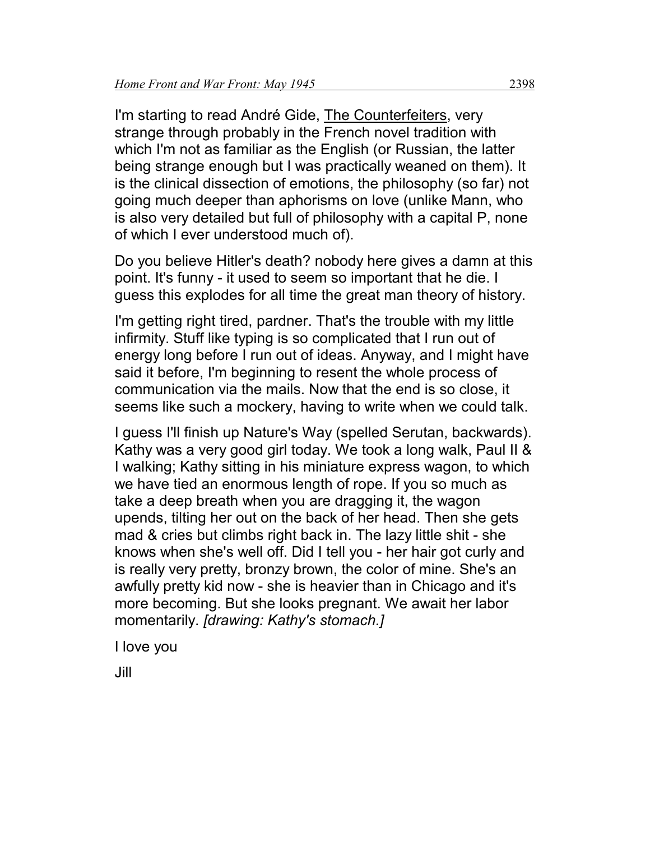I'm starting to read André Gide, The Counterfeiters, very strange through probably in the French novel tradition with which I'm not as familiar as the English (or Russian, the latter being strange enough but I was practically weaned on them). It is the clinical dissection of emotions, the philosophy (so far) not going much deeper than aphorisms on love (unlike Mann, who is also very detailed but full of philosophy with a capital P, none of which I ever understood much of).

Do you believe Hitler's death? nobody here gives a damn at this point. It's funny - it used to seem so important that he die. I guess this explodes for all time the great man theory of history.

I'm getting right tired, pardner. That's the trouble with my little infirmity. Stuff like typing is so complicated that I run out of energy long before I run out of ideas. Anyway, and I might have said it before, I'm beginning to resent the whole process of communication via the mails. Now that the end is so close, it seems like such a mockery, having to write when we could talk.

I guess I'll finish up Nature's Way (spelled Serutan, backwards). Kathy was a very good girl today. We took a long walk, Paul II & I walking; Kathy sitting in his miniature express wagon, to which we have tied an enormous length of rope. If you so much as take a deep breath when you are dragging it, the wagon upends, tilting her out on the back of her head. Then she gets mad & cries but climbs right back in. The lazy little shit - she knows when she's well off. Did I tell you - her hair got curly and is really very pretty, bronzy brown, the color of mine. She's an awfully pretty kid now - she is heavier than in Chicago and it's more becoming. But she looks pregnant. We await her labor momentarily. *[drawing: Kathy's stomach.]*

I love you

Jill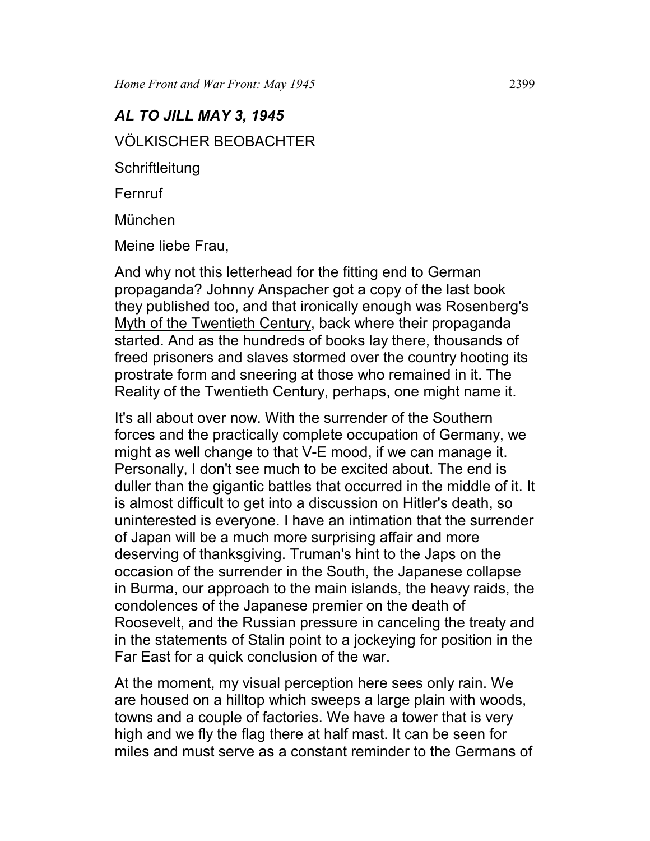# *AL TO JILL MAY 3, 1945* VÖLKISCHER BEOBACHTER **Schriftleitung**

**Fernruf** 

München

Meine liebe Frau,

And why not this letterhead for the fitting end to German propaganda? Johnny Anspacher got a copy of the last book they published too, and that ironically enough was Rosenberg's Myth of the Twentieth Century, back where their propaganda started. And as the hundreds of books lay there, thousands of freed prisoners and slaves stormed over the country hooting its prostrate form and sneering at those who remained in it. The Reality of the Twentieth Century, perhaps, one might name it.

It's all about over now. With the surrender of the Southern forces and the practically complete occupation of Germany, we might as well change to that V-E mood, if we can manage it. Personally, I don't see much to be excited about. The end is duller than the gigantic battles that occurred in the middle of it. It is almost difficult to get into a discussion on Hitler's death, so uninterested is everyone. I have an intimation that the surrender of Japan will be a much more surprising affair and more deserving of thanksgiving. Truman's hint to the Japs on the occasion of the surrender in the South, the Japanese collapse in Burma, our approach to the main islands, the heavy raids, the condolences of the Japanese premier on the death of Roosevelt, and the Russian pressure in canceling the treaty and in the statements of Stalin point to a jockeying for position in the Far East for a quick conclusion of the war.

At the moment, my visual perception here sees only rain. We are housed on a hilltop which sweeps a large plain with woods, towns and a couple of factories. We have a tower that is very high and we fly the flag there at half mast. It can be seen for miles and must serve as a constant reminder to the Germans of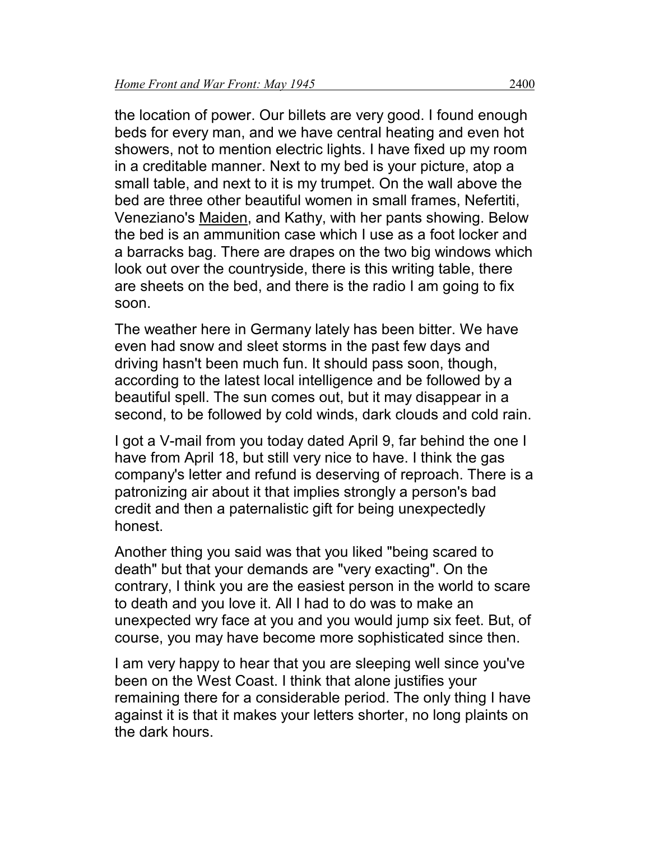the location of power. Our billets are very good. I found enough beds for every man, and we have central heating and even hot showers, not to mention electric lights. I have fixed up my room in a creditable manner. Next to my bed is your picture, atop a small table, and next to it is my trumpet. On the wall above the bed are three other beautiful women in small frames, Nefertiti, Veneziano's Maiden, and Kathy, with her pants showing. Below the bed is an ammunition case which I use as a foot locker and a barracks bag. There are drapes on the two big windows which look out over the countryside, there is this writing table, there are sheets on the bed, and there is the radio I am going to fix soon.

The weather here in Germany lately has been bitter. We have even had snow and sleet storms in the past few days and driving hasn't been much fun. It should pass soon, though, according to the latest local intelligence and be followed by a beautiful spell. The sun comes out, but it may disappear in a second, to be followed by cold winds, dark clouds and cold rain.

I got a V-mail from you today dated April 9, far behind the one I have from April 18, but still very nice to have. I think the gas company's letter and refund is deserving of reproach. There is a patronizing air about it that implies strongly a person's bad credit and then a paternalistic gift for being unexpectedly honest.

Another thing you said was that you liked "being scared to death" but that your demands are "very exacting". On the contrary, I think you are the easiest person in the world to scare to death and you love it. All I had to do was to make an unexpected wry face at you and you would jump six feet. But, of course, you may have become more sophisticated since then.

I am very happy to hear that you are sleeping well since you've been on the West Coast. I think that alone justifies your remaining there for a considerable period. The only thing I have against it is that it makes your letters shorter, no long plaints on the dark hours.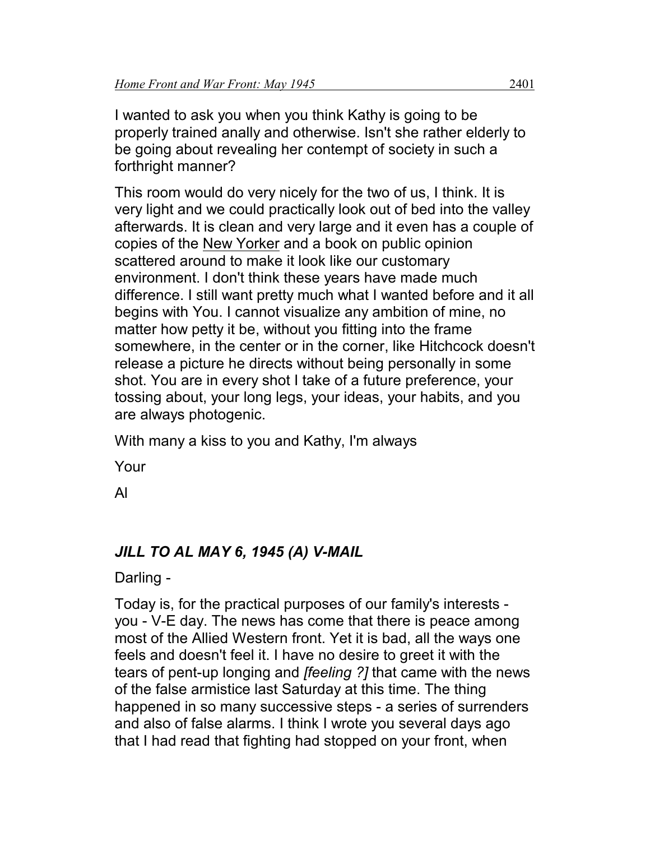I wanted to ask you when you think Kathy is going to be properly trained anally and otherwise. Isn't she rather elderly to be going about revealing her contempt of society in such a forthright manner?

This room would do very nicely for the two of us, I think. It is very light and we could practically look out of bed into the valley afterwards. It is clean and very large and it even has a couple of copies of the New Yorker and a book on public opinion scattered around to make it look like our customary environment. I don't think these years have made much difference. I still want pretty much what I wanted before and it all begins with You. I cannot visualize any ambition of mine, no matter how petty it be, without you fitting into the frame somewhere, in the center or in the corner, like Hitchcock doesn't release a picture he directs without being personally in some shot. You are in every shot I take of a future preference, your tossing about, your long legs, your ideas, your habits, and you are always photogenic.

With many a kiss to you and Kathy, I'm always

Your

Al

# *JILL TO AL MAY 6, 1945 (A) V-MAIL*

Darling -

Today is, for the practical purposes of our family's interests you - V-E day. The news has come that there is peace among most of the Allied Western front. Yet it is bad, all the ways one feels and doesn't feel it. I have no desire to greet it with the tears of pent-up longing and *[feeling ?]* that came with the news of the false armistice last Saturday at this time. The thing happened in so many successive steps - a series of surrenders and also of false alarms. I think I wrote you several days ago that I had read that fighting had stopped on your front, when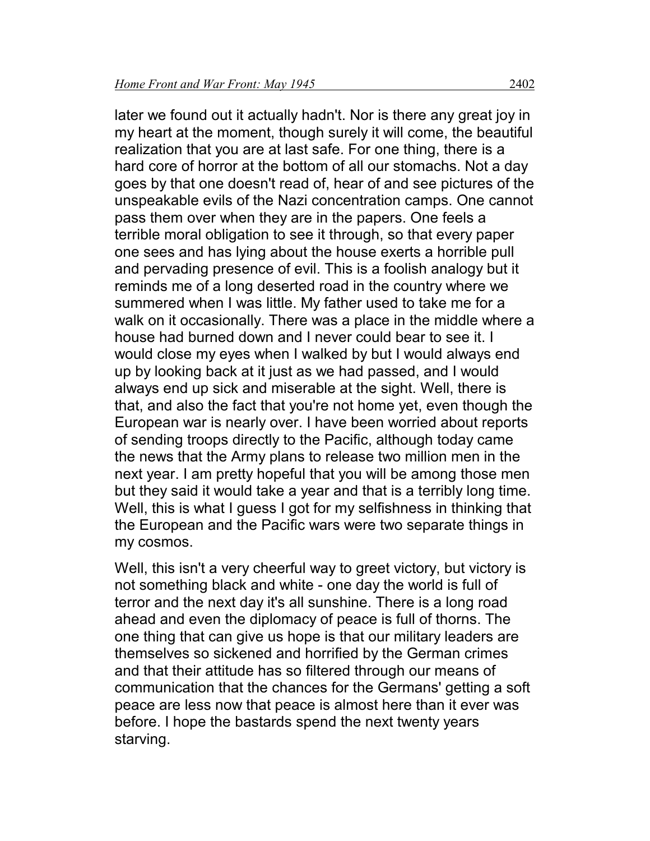later we found out it actually hadn't. Nor is there any great joy in my heart at the moment, though surely it will come, the beautiful realization that you are at last safe. For one thing, there is a hard core of horror at the bottom of all our stomachs. Not a day goes by that one doesn't read of, hear of and see pictures of the unspeakable evils of the Nazi concentration camps. One cannot pass them over when they are in the papers. One feels a terrible moral obligation to see it through, so that every paper one sees and has lying about the house exerts a horrible pull and pervading presence of evil. This is a foolish analogy but it reminds me of a long deserted road in the country where we summered when I was little. My father used to take me for a walk on it occasionally. There was a place in the middle where a house had burned down and I never could bear to see it. I would close my eyes when I walked by but I would always end up by looking back at it just as we had passed, and I would always end up sick and miserable at the sight. Well, there is that, and also the fact that you're not home yet, even though the European war is nearly over. I have been worried about reports of sending troops directly to the Pacific, although today came the news that the Army plans to release two million men in the next year. I am pretty hopeful that you will be among those men but they said it would take a year and that is a terribly long time. Well, this is what I guess I got for my selfishness in thinking that the European and the Pacific wars were two separate things in my cosmos.

Well, this isn't a very cheerful way to greet victory, but victory is not something black and white - one day the world is full of terror and the next day it's all sunshine. There is a long road ahead and even the diplomacy of peace is full of thorns. The one thing that can give us hope is that our military leaders are themselves so sickened and horrified by the German crimes and that their attitude has so filtered through our means of communication that the chances for the Germans' getting a soft peace are less now that peace is almost here than it ever was before. I hope the bastards spend the next twenty years starving.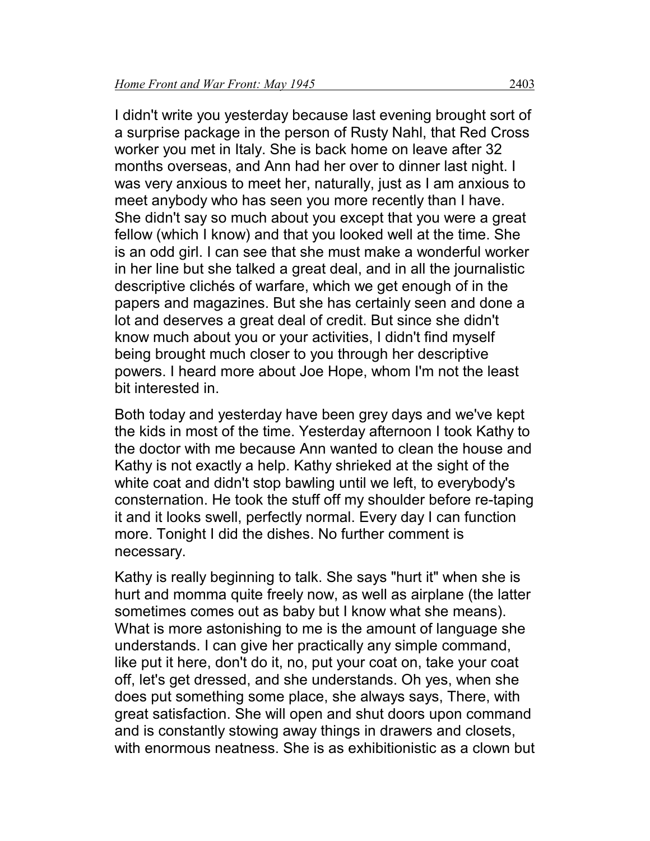I didn't write you yesterday because last evening brought sort of a surprise package in the person of Rusty Nahl, that Red Cross worker you met in Italy. She is back home on leave after 32 months overseas, and Ann had her over to dinner last night. I was very anxious to meet her, naturally, just as I am anxious to meet anybody who has seen you more recently than I have. She didn't say so much about you except that you were a great fellow (which I know) and that you looked well at the time. She is an odd girl. I can see that she must make a wonderful worker in her line but she talked a great deal, and in all the journalistic descriptive clichés of warfare, which we get enough of in the papers and magazines. But she has certainly seen and done a lot and deserves a great deal of credit. But since she didn't know much about you or your activities, I didn't find myself being brought much closer to you through her descriptive powers. I heard more about Joe Hope, whom I'm not the least bit interested in.

Both today and yesterday have been grey days and we've kept the kids in most of the time. Yesterday afternoon I took Kathy to the doctor with me because Ann wanted to clean the house and Kathy is not exactly a help. Kathy shrieked at the sight of the white coat and didn't stop bawling until we left, to everybody's consternation. He took the stuff off my shoulder before re-taping it and it looks swell, perfectly normal. Every day I can function more. Tonight I did the dishes. No further comment is necessary.

Kathy is really beginning to talk. She says "hurt it" when she is hurt and momma quite freely now, as well as airplane (the latter sometimes comes out as baby but I know what she means). What is more astonishing to me is the amount of language she understands. I can give her practically any simple command, like put it here, don't do it, no, put your coat on, take your coat off, let's get dressed, and she understands. Oh yes, when she does put something some place, she always says, There, with great satisfaction. She will open and shut doors upon command and is constantly stowing away things in drawers and closets, with enormous neatness. She is as exhibitionistic as a clown but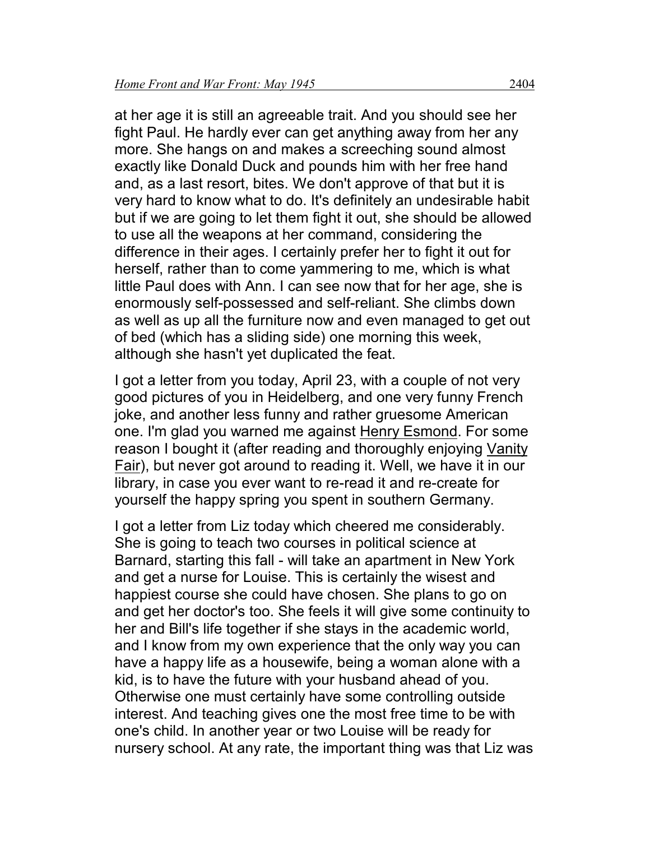at her age it is still an agreeable trait. And you should see her fight Paul. He hardly ever can get anything away from her any more. She hangs on and makes a screeching sound almost exactly like Donald Duck and pounds him with her free hand and, as a last resort, bites. We don't approve of that but it is very hard to know what to do. It's definitely an undesirable habit but if we are going to let them fight it out, she should be allowed to use all the weapons at her command, considering the difference in their ages. I certainly prefer her to fight it out for herself, rather than to come yammering to me, which is what little Paul does with Ann. I can see now that for her age, she is enormously self-possessed and self-reliant. She climbs down as well as up all the furniture now and even managed to get out of bed (which has a sliding side) one morning this week, although she hasn't yet duplicated the feat.

I got a letter from you today, April 23, with a couple of not very good pictures of you in Heidelberg, and one very funny French joke, and another less funny and rather gruesome American one. I'm glad you warned me against Henry Esmond. For some reason I bought it (after reading and thoroughly enjoying Vanity Fair), but never got around to reading it. Well, we have it in our library, in case you ever want to re-read it and re-create for yourself the happy spring you spent in southern Germany.

I got a letter from Liz today which cheered me considerably. She is going to teach two courses in political science at Barnard, starting this fall - will take an apartment in New York and get a nurse for Louise. This is certainly the wisest and happiest course she could have chosen. She plans to go on and get her doctor's too. She feels it will give some continuity to her and Bill's life together if she stays in the academic world, and I know from my own experience that the only way you can have a happy life as a housewife, being a woman alone with a kid, is to have the future with your husband ahead of you. Otherwise one must certainly have some controlling outside interest. And teaching gives one the most free time to be with one's child. In another year or two Louise will be ready for nursery school. At any rate, the important thing was that Liz was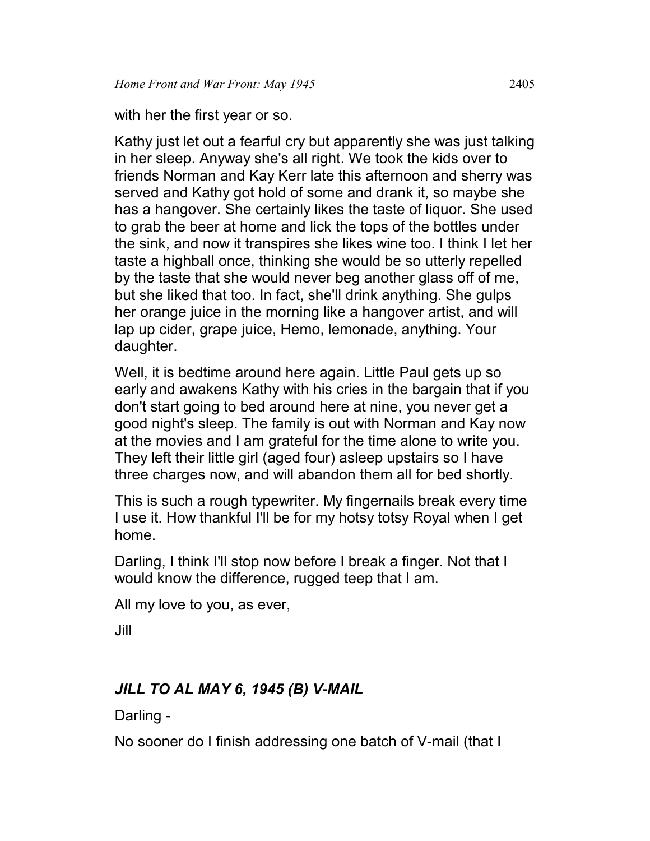with her the first year or so.

Kathy just let out a fearful cry but apparently she was just talking in her sleep. Anyway she's all right. We took the kids over to friends Norman and Kay Kerr late this afternoon and sherry was served and Kathy got hold of some and drank it, so maybe she has a hangover. She certainly likes the taste of liquor. She used to grab the beer at home and lick the tops of the bottles under the sink, and now it transpires she likes wine too. I think I let her taste a highball once, thinking she would be so utterly repelled by the taste that she would never beg another glass off of me, but she liked that too. In fact, she'll drink anything. She gulps her orange juice in the morning like a hangover artist, and will lap up cider, grape juice, Hemo, lemonade, anything. Your daughter.

Well, it is bedtime around here again. Little Paul gets up so early and awakens Kathy with his cries in the bargain that if you don't start going to bed around here at nine, you never get a good night's sleep. The family is out with Norman and Kay now at the movies and I am grateful for the time alone to write you. They left their little girl (aged four) asleep upstairs so I have three charges now, and will abandon them all for bed shortly.

This is such a rough typewriter. My fingernails break every time I use it. How thankful I'll be for my hotsy totsy Royal when I get home.

Darling, I think I'll stop now before I break a finger. Not that I would know the difference, rugged teep that I am.

All my love to you, as ever,

Jill

# *JILL TO AL MAY 6, 1945 (B) V-MAIL*

Darling -

No sooner do I finish addressing one batch of V-mail (that I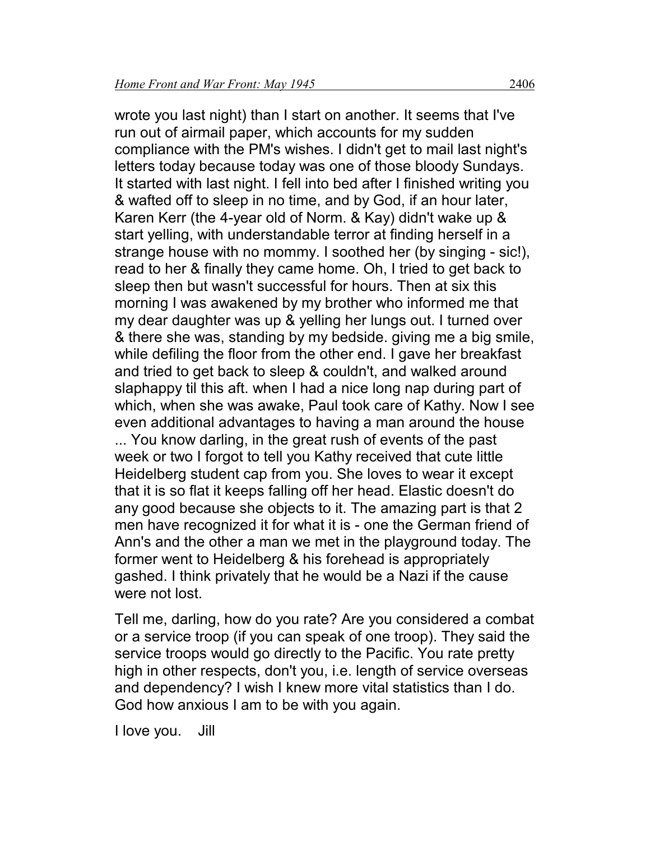wrote you last night) than I start on another. It seems that I've run out of airmail paper, which accounts for my sudden compliance with the PM's wishes. I didn't get to mail last night's letters today because today was one of those bloody Sundays. It started with last night. I fell into bed after I finished writing you & wafted off to sleep in no time, and by God, if an hour later, Karen Kerr (the 4-year old of Norm. & Kay) didn't wake up & start yelling, with understandable terror at finding herself in a strange house with no mommy. I soothed her (by singing - sic!), read to her & finally they came home. Oh, I tried to get back to sleep then but wasn't successful for hours. Then at six this morning I was awakened by my brother who informed me that my dear daughter was up & yelling her lungs out. I turned over & there she was, standing by my bedside. giving me a big smile, while defiling the floor from the other end. I gave her breakfast and tried to get back to sleep & couldn't, and walked around slaphappy til this aft. when I had a nice long nap during part of which, when she was awake, Paul took care of Kathy. Now I see even additional advantages to having a man around the house ... You know darling, in the great rush of events of the past week or two I forgot to tell you Kathy received that cute little Heidelberg student cap from you. She loves to wear it except that it is so flat it keeps falling off her head. Elastic doesn't do any good because she objects to it. The amazing part is that 2 men have recognized it for what it is - one the German friend of Ann's and the other a man we met in the playground today. The former went to Heidelberg & his forehead is appropriately gashed. I think privately that he would be a Nazi if the cause were not lost.

Tell me, darling, how do you rate? Are you considered a combat or a service troop (if you can speak of one troop). They said the service troops would go directly to the Pacific. You rate pretty high in other respects, don't you, i.e. length of service overseas and dependency? I wish I knew more vital statistics than I do. God how anxious I am to be with you again.

I love you. Jill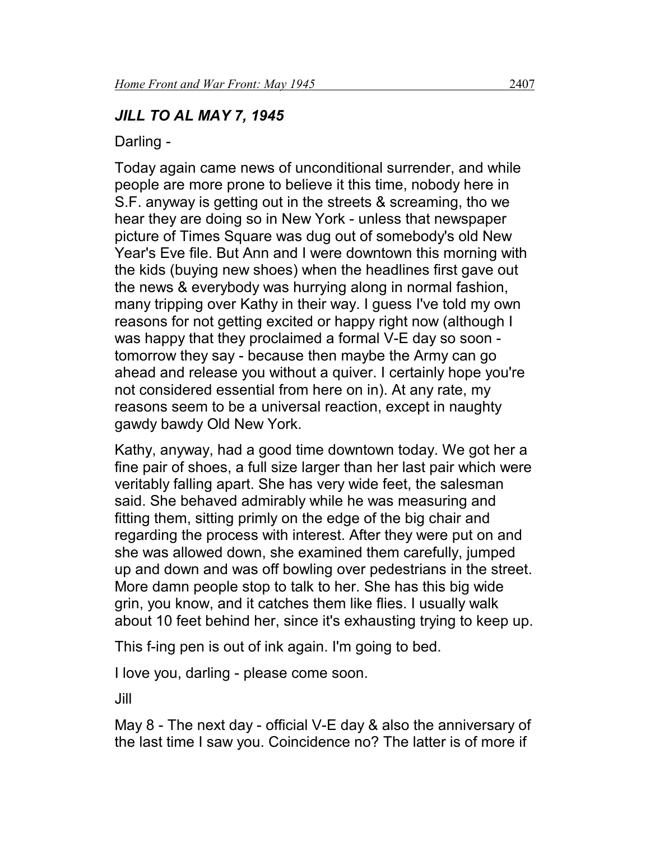# *JILL TO AL MAY 7, 1945*

Darling -

Today again came news of unconditional surrender, and while people are more prone to believe it this time, nobody here in S.F. anyway is getting out in the streets & screaming, tho we hear they are doing so in New York - unless that newspaper picture of Times Square was dug out of somebody's old New Year's Eve file. But Ann and I were downtown this morning with the kids (buying new shoes) when the headlines first gave out the news & everybody was hurrying along in normal fashion, many tripping over Kathy in their way. I guess I've told my own reasons for not getting excited or happy right now (although I was happy that they proclaimed a formal V-E day so soon tomorrow they say - because then maybe the Army can go ahead and release you without a quiver. I certainly hope you're not considered essential from here on in). At any rate, my reasons seem to be a universal reaction, except in naughty gawdy bawdy Old New York.

Kathy, anyway, had a good time downtown today. We got her a fine pair of shoes, a full size larger than her last pair which were veritably falling apart. She has very wide feet, the salesman said. She behaved admirably while he was measuring and fitting them, sitting primly on the edge of the big chair and regarding the process with interest. After they were put on and she was allowed down, she examined them carefully, jumped up and down and was off bowling over pedestrians in the street. More damn people stop to talk to her. She has this big wide grin, you know, and it catches them like flies. I usually walk about 10 feet behind her, since it's exhausting trying to keep up.

This f-ing pen is out of ink again. I'm going to bed.

I love you, darling - please come soon.

Jill

May 8 - The next day - official V-E day & also the anniversary of the last time I saw you. Coincidence no? The latter is of more if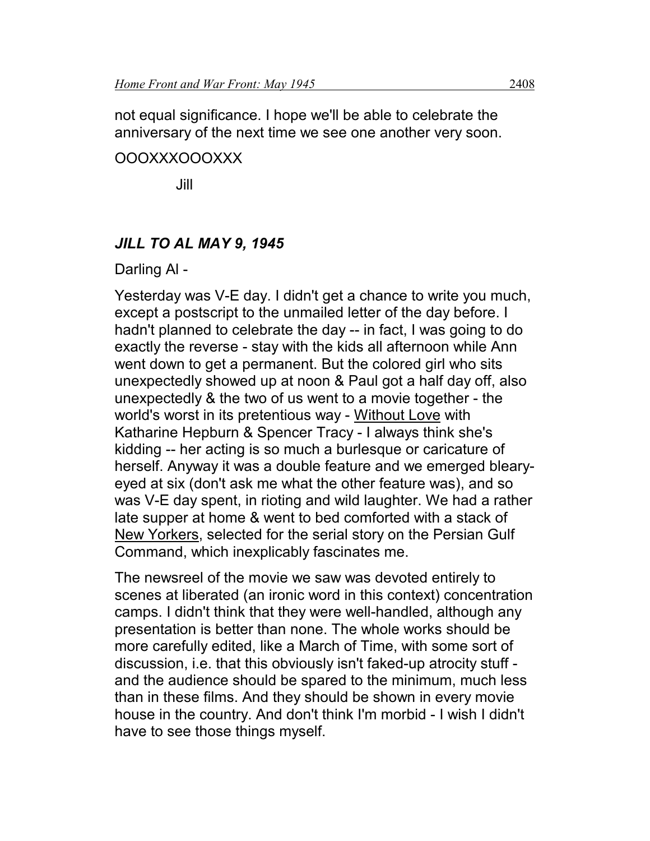not equal significance. I hope we'll be able to celebrate the anniversary of the next time we see one another very soon.

#### OOOXXXOOOXXX

Jill

## *JILL TO AL MAY 9, 1945*

#### Darling Al -

Yesterday was V-E day. I didn't get a chance to write you much, except a postscript to the unmailed letter of the day before. I hadn't planned to celebrate the day -- in fact, I was going to do exactly the reverse - stay with the kids all afternoon while Ann went down to get a permanent. But the colored girl who sits unexpectedly showed up at noon & Paul got a half day off, also unexpectedly & the two of us went to a movie together - the world's worst in its pretentious way - Without Love with Katharine Hepburn & Spencer Tracy - I always think she's kidding -- her acting is so much a burlesque or caricature of herself. Anyway it was a double feature and we emerged blearyeyed at six (don't ask me what the other feature was), and so was V-E day spent, in rioting and wild laughter. We had a rather late supper at home & went to bed comforted with a stack of New Yorkers, selected for the serial story on the Persian Gulf Command, which inexplicably fascinates me.

The newsreel of the movie we saw was devoted entirely to scenes at liberated (an ironic word in this context) concentration camps. I didn't think that they were well-handled, although any presentation is better than none. The whole works should be more carefully edited, like a March of Time, with some sort of discussion, i.e. that this obviously isn't faked-up atrocity stuff and the audience should be spared to the minimum, much less than in these films. And they should be shown in every movie house in the country. And don't think I'm morbid - I wish I didn't have to see those things myself.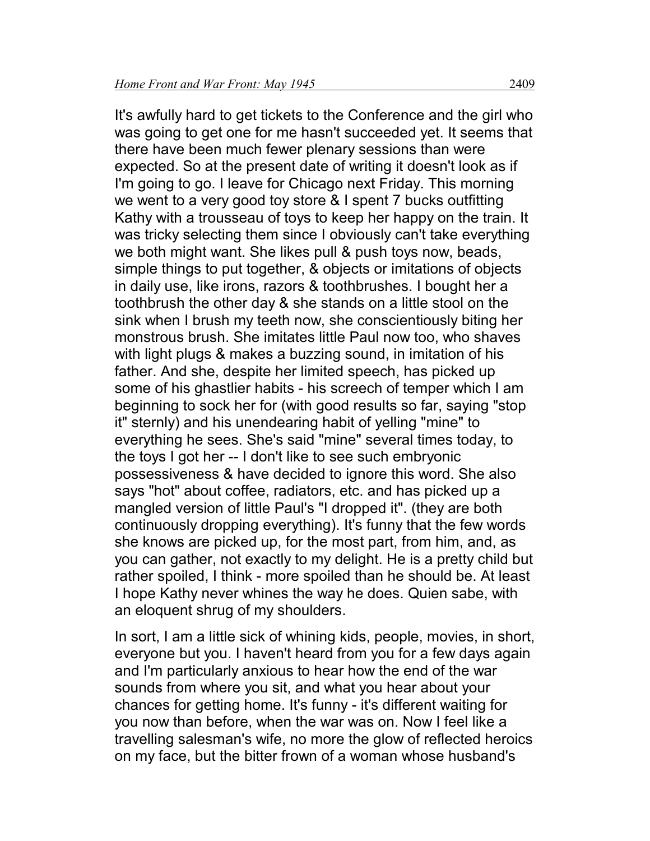It's awfully hard to get tickets to the Conference and the girl who was going to get one for me hasn't succeeded yet. It seems that there have been much fewer plenary sessions than were expected. So at the present date of writing it doesn't look as if I'm going to go. I leave for Chicago next Friday. This morning we went to a very good toy store & I spent 7 bucks outfitting Kathy with a trousseau of toys to keep her happy on the train. It was tricky selecting them since I obviously can't take everything we both might want. She likes pull & push toys now, beads, simple things to put together, & objects or imitations of objects in daily use, like irons, razors & toothbrushes. I bought her a toothbrush the other day & she stands on a little stool on the sink when I brush my teeth now, she conscientiously biting her monstrous brush. She imitates little Paul now too, who shaves with light plugs & makes a buzzing sound, in imitation of his father. And she, despite her limited speech, has picked up some of his ghastlier habits - his screech of temper which I am beginning to sock her for (with good results so far, saying "stop it" sternly) and his unendearing habit of yelling "mine" to everything he sees. She's said "mine" several times today, to the toys I got her -- I don't like to see such embryonic possessiveness & have decided to ignore this word. She also says "hot" about coffee, radiators, etc. and has picked up a mangled version of little Paul's "I dropped it". (they are both continuously dropping everything). It's funny that the few words she knows are picked up, for the most part, from him, and, as you can gather, not exactly to my delight. He is a pretty child but rather spoiled, I think - more spoiled than he should be. At least I hope Kathy never whines the way he does. Quien sabe, with an eloquent shrug of my shoulders.

In sort, I am a little sick of whining kids, people, movies, in short, everyone but you. I haven't heard from you for a few days again and I'm particularly anxious to hear how the end of the war sounds from where you sit, and what you hear about your chances for getting home. It's funny - it's different waiting for you now than before, when the war was on. Now I feel like a travelling salesman's wife, no more the glow of reflected heroics on my face, but the bitter frown of a woman whose husband's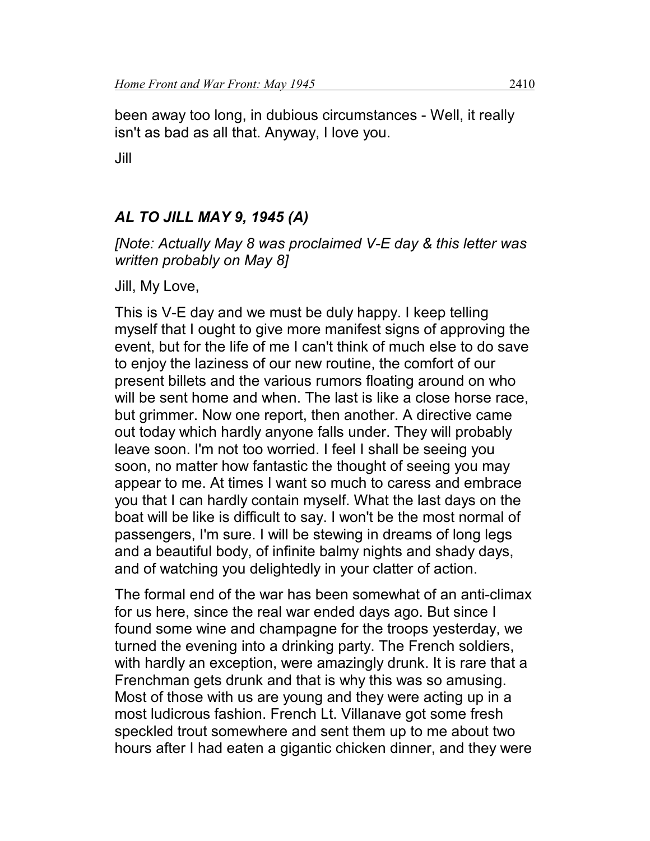been away too long, in dubious circumstances - Well, it really isn't as bad as all that. Anyway, I love you.

Jill

# *AL TO JILL MAY 9, 1945 (A)*

*[Note: Actually May 8 was proclaimed V-E day & this letter was written probably on May 8]*

Jill, My Love,

This is V-E day and we must be duly happy. I keep telling myself that I ought to give more manifest signs of approving the event, but for the life of me I can't think of much else to do save to enjoy the laziness of our new routine, the comfort of our present billets and the various rumors floating around on who will be sent home and when. The last is like a close horse race, but grimmer. Now one report, then another. A directive came out today which hardly anyone falls under. They will probably leave soon. I'm not too worried. I feel I shall be seeing you soon, no matter how fantastic the thought of seeing you may appear to me. At times I want so much to caress and embrace you that I can hardly contain myself. What the last days on the boat will be like is difficult to say. I won't be the most normal of passengers, I'm sure. I will be stewing in dreams of long legs and a beautiful body, of infinite balmy nights and shady days, and of watching you delightedly in your clatter of action.

The formal end of the war has been somewhat of an anti-climax for us here, since the real war ended days ago. But since I found some wine and champagne for the troops yesterday, we turned the evening into a drinking party. The French soldiers, with hardly an exception, were amazingly drunk. It is rare that a Frenchman gets drunk and that is why this was so amusing. Most of those with us are young and they were acting up in a most ludicrous fashion. French Lt. Villanave got some fresh speckled trout somewhere and sent them up to me about two hours after I had eaten a gigantic chicken dinner, and they were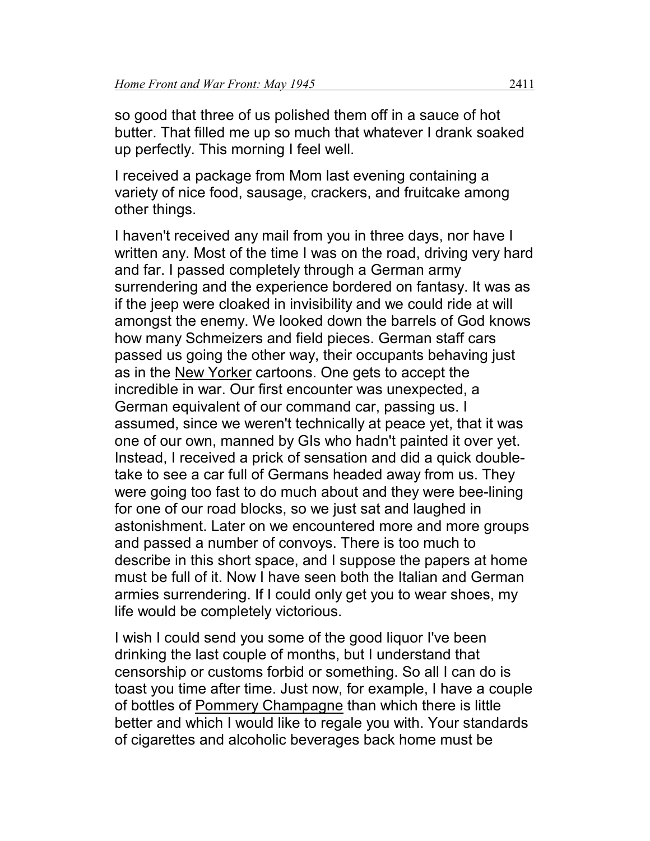so good that three of us polished them off in a sauce of hot butter. That filled me up so much that whatever I drank soaked up perfectly. This morning I feel well.

I received a package from Mom last evening containing a variety of nice food, sausage, crackers, and fruitcake among other things.

I haven't received any mail from you in three days, nor have I written any. Most of the time I was on the road, driving very hard and far. I passed completely through a German army surrendering and the experience bordered on fantasy. It was as if the jeep were cloaked in invisibility and we could ride at will amongst the enemy. We looked down the barrels of God knows how many Schmeizers and field pieces. German staff cars passed us going the other way, their occupants behaving just as in the <u>New Yorker</u> cartoons. One gets to accept the incredible in war. Our first encounter was unexpected, a German equivalent of our command car, passing us. I assumed, since we weren't technically at peace yet, that it was one of our own, manned by GIs who hadn't painted it over yet. Instead, I received a prick of sensation and did a quick doubletake to see a car full of Germans headed away from us. They were going too fast to do much about and they were bee-lining for one of our road blocks, so we just sat and laughed in astonishment. Later on we encountered more and more groups and passed a number of convoys. There is too much to describe in this short space, and I suppose the papers at home must be full of it. Now I have seen both the Italian and German armies surrendering. If I could only get you to wear shoes, my life would be completely victorious.

I wish I could send you some of the good liquor I've been drinking the last couple of months, but I understand that censorship or customs forbid or something. So all I can do is toast you time after time. Just now, for example, I have a couple of bottles of Pommery Champagne than which there is little better and which I would like to regale you with. Your standards of cigarettes and alcoholic beverages back home must be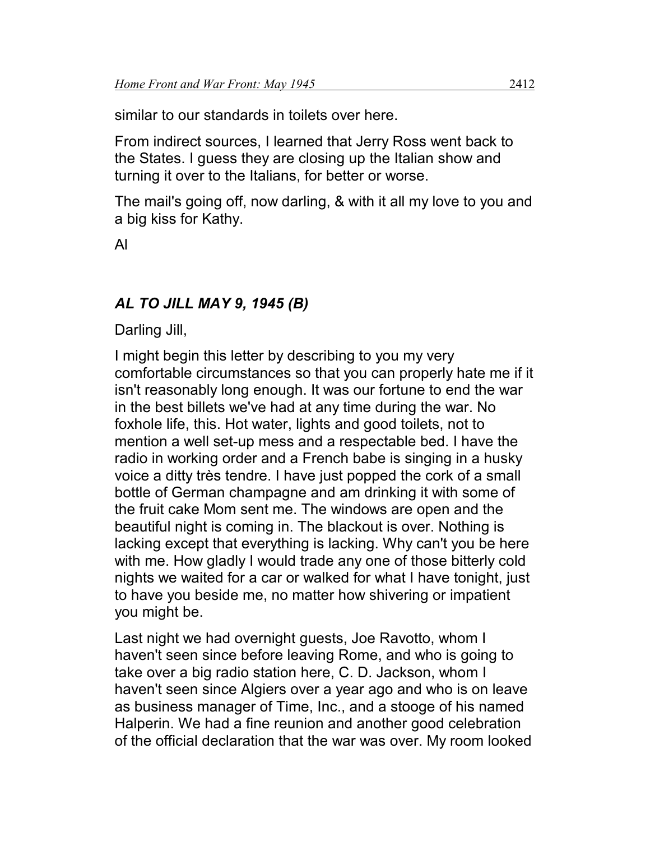similar to our standards in toilets over here.

From indirect sources, I learned that Jerry Ross went back to the States. I guess they are closing up the Italian show and turning it over to the Italians, for better or worse.

The mail's going off, now darling, & with it all my love to you and a big kiss for Kathy.

Al

## *AL TO JILL MAY 9, 1945 (B)*

Darling Jill,

I might begin this letter by describing to you my very comfortable circumstances so that you can properly hate me if it isn't reasonably long enough. It was our fortune to end the war in the best billets we've had at any time during the war. No foxhole life, this. Hot water, lights and good toilets, not to mention a well set-up mess and a respectable bed. I have the radio in working order and a French babe is singing in a husky voice a ditty très tendre. I have just popped the cork of a small bottle of German champagne and am drinking it with some of the fruit cake Mom sent me. The windows are open and the beautiful night is coming in. The blackout is over. Nothing is lacking except that everything is lacking. Why can't you be here with me. How gladly I would trade any one of those bitterly cold nights we waited for a car or walked for what I have tonight, just to have you beside me, no matter how shivering or impatient you might be.

Last night we had overnight guests, Joe Ravotto, whom I haven't seen since before leaving Rome, and who is going to take over a big radio station here, C. D. Jackson, whom I haven't seen since Algiers over a year ago and who is on leave as business manager of Time, Inc., and a stooge of his named Halperin. We had a fine reunion and another good celebration of the official declaration that the war was over. My room looked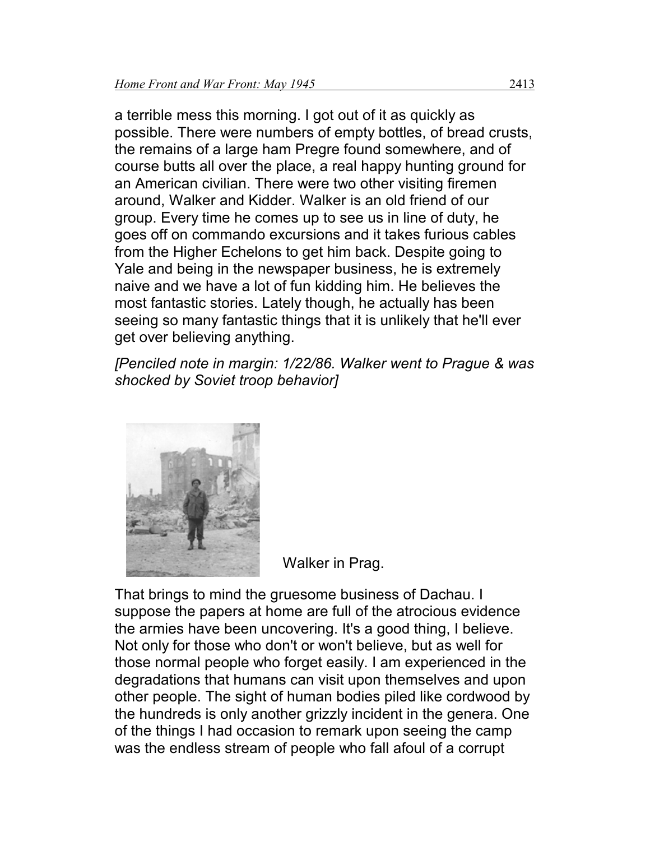a terrible mess this morning. I got out of it as quickly as possible. There were numbers of empty bottles, of bread crusts, the remains of a large ham Pregre found somewhere, and of course butts all over the place, a real happy hunting ground for an American civilian. There were two other visiting firemen around, Walker and Kidder. Walker is an old friend of our group. Every time he comes up to see us in line of duty, he goes off on commando excursions and it takes furious cables from the Higher Echelons to get him back. Despite going to Yale and being in the newspaper business, he is extremely naive and we have a lot of fun kidding him. He believes the most fantastic stories. Lately though, he actually has been seeing so many fantastic things that it is unlikely that he'll ever get over believing anything.

*[Penciled note in margin: 1/22/86. Walker went to Prague & was shocked by Soviet troop behavior]*



Walker in Prag.

That brings to mind the gruesome business of Dachau. I suppose the papers at home are full of the atrocious evidence the armies have been uncovering. It's a good thing, I believe. Not only for those who don't or won't believe, but as well for those normal people who forget easily. I am experienced in the degradations that humans can visit upon themselves and upon other people. The sight of human bodies piled like cordwood by the hundreds is only another grizzly incident in the genera. One of the things I had occasion to remark upon seeing the camp was the endless stream of people who fall afoul of a corrupt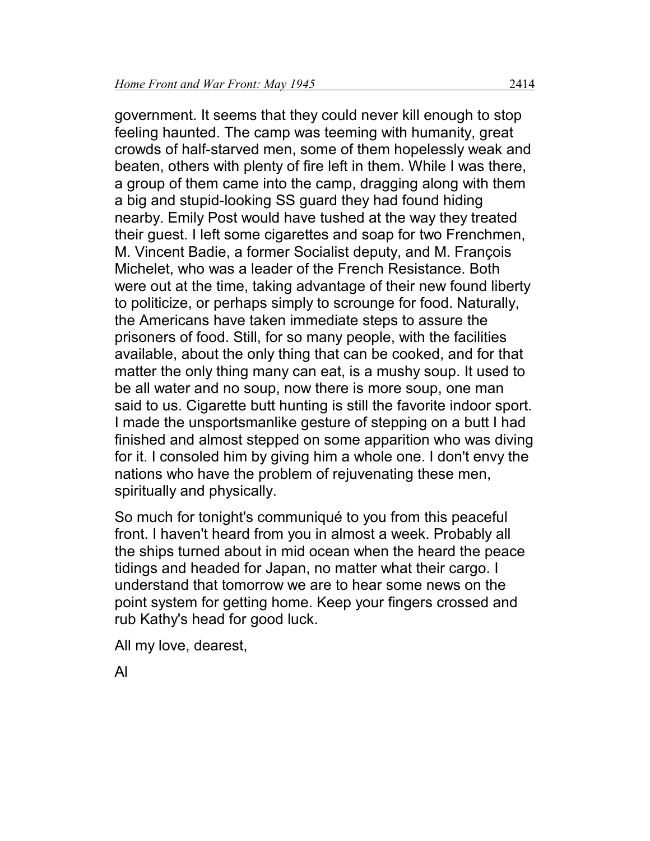government. It seems that they could never kill enough to stop feeling haunted. The camp was teeming with humanity, great crowds of half-starved men, some of them hopelessly weak and beaten, others with plenty of fire left in them. While I was there, a group of them came into the camp, dragging along with them a big and stupid-looking SS guard they had found hiding nearby. Emily Post would have tushed at the way they treated their guest. I left some cigarettes and soap for two Frenchmen, M. Vincent Badie, a former Socialist deputy, and M. François Michelet, who was a leader of the French Resistance. Both were out at the time, taking advantage of their new found liberty to politicize, or perhaps simply to scrounge for food. Naturally, the Americans have taken immediate steps to assure the prisoners of food. Still, for so many people, with the facilities available, about the only thing that can be cooked, and for that matter the only thing many can eat, is a mushy soup. It used to be all water and no soup, now there is more soup, one man said to us. Cigarette butt hunting is still the favorite indoor sport. I made the unsportsmanlike gesture of stepping on a butt I had finished and almost stepped on some apparition who was diving for it. I consoled him by giving him a whole one. I don't envy the nations who have the problem of rejuvenating these men, spiritually and physically.

So much for tonight's communiqué to you from this peaceful front. I haven't heard from you in almost a week. Probably all the ships turned about in mid ocean when the heard the peace tidings and headed for Japan, no matter what their cargo. I understand that tomorrow we are to hear some news on the point system for getting home. Keep your fingers crossed and rub Kathy's head for good luck.

All my love, dearest,

Al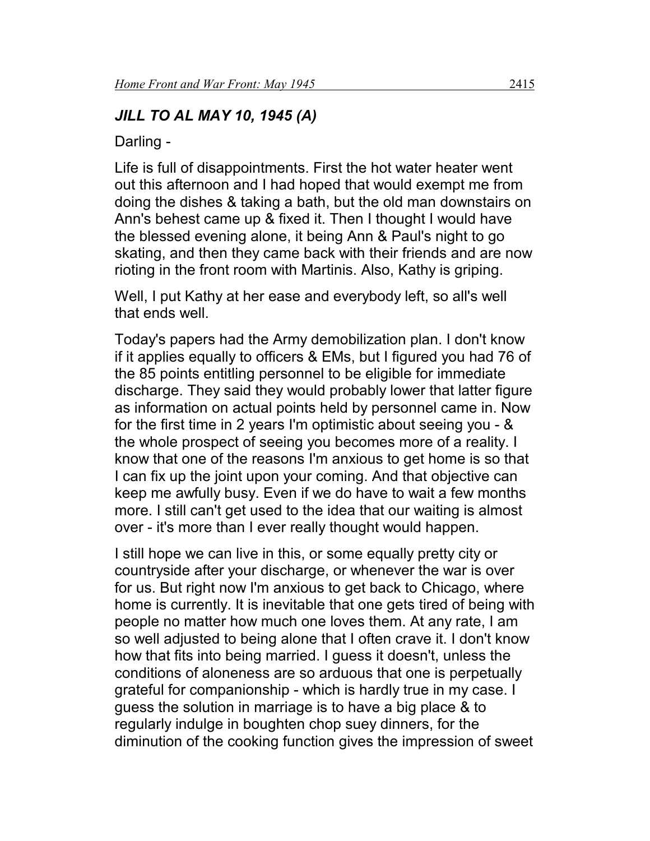# *JILL TO AL MAY 10, 1945 (A)*

Darling -

Life is full of disappointments. First the hot water heater went out this afternoon and I had hoped that would exempt me from doing the dishes & taking a bath, but the old man downstairs on Ann's behest came up & fixed it. Then I thought I would have the blessed evening alone, it being Ann & Paul's night to go skating, and then they came back with their friends and are now rioting in the front room with Martinis. Also, Kathy is griping.

Well, I put Kathy at her ease and everybody left, so all's well that ends well.

Today's papers had the Army demobilization plan. I don't know if it applies equally to officers & EMs, but I figured you had 76 of the 85 points entitling personnel to be eligible for immediate discharge. They said they would probably lower that latter figure as information on actual points held by personnel came in. Now for the first time in 2 years I'm optimistic about seeing you - & the whole prospect of seeing you becomes more of a reality. I know that one of the reasons I'm anxious to get home is so that I can fix up the joint upon your coming. And that objective can keep me awfully busy. Even if we do have to wait a few months more. I still can't get used to the idea that our waiting is almost over - it's more than I ever really thought would happen.

I still hope we can live in this, or some equally pretty city or countryside after your discharge, or whenever the war is over for us. But right now I'm anxious to get back to Chicago, where home is currently. It is inevitable that one gets tired of being with people no matter how much one loves them. At any rate, I am so well adjusted to being alone that I often crave it. I don't know how that fits into being married. I guess it doesn't, unless the conditions of aloneness are so arduous that one is perpetually grateful for companionship - which is hardly true in my case. I guess the solution in marriage is to have a big place & to regularly indulge in boughten chop suey dinners, for the diminution of the cooking function gives the impression of sweet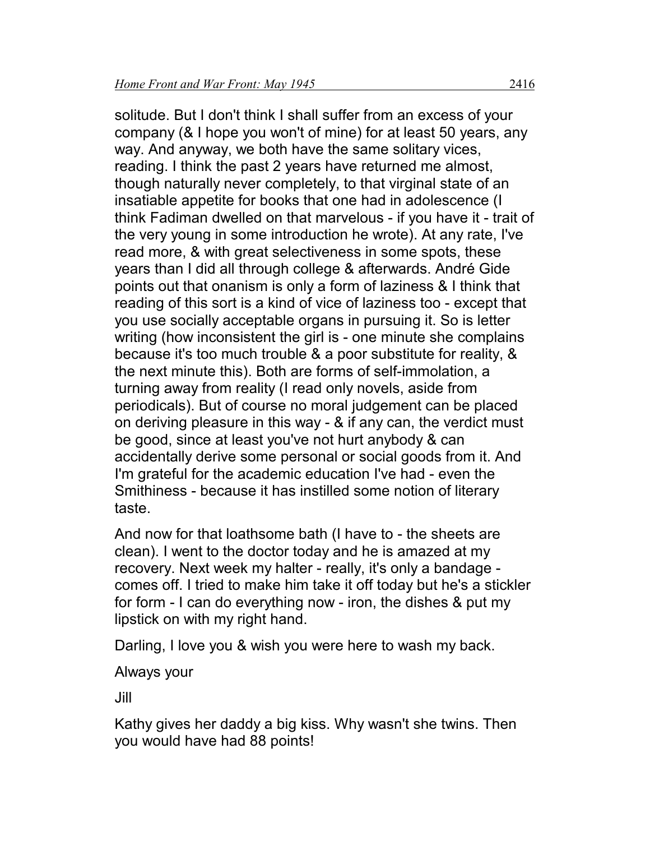solitude. But I don't think I shall suffer from an excess of your company (& I hope you won't of mine) for at least 50 years, any way. And anyway, we both have the same solitary vices, reading. I think the past 2 years have returned me almost, though naturally never completely, to that virginal state of an insatiable appetite for books that one had in adolescence (I think Fadiman dwelled on that marvelous - if you have it - trait of the very young in some introduction he wrote). At any rate, I've read more, & with great selectiveness in some spots, these years than I did all through college & afterwards. André Gide points out that onanism is only a form of laziness & I think that reading of this sort is a kind of vice of laziness too - except that you use socially acceptable organs in pursuing it. So is letter writing (how inconsistent the girl is - one minute she complains because it's too much trouble & a poor substitute for reality, & the next minute this). Both are forms of self-immolation, a turning away from reality (I read only novels, aside from periodicals). But of course no moral judgement can be placed on deriving pleasure in this way - & if any can, the verdict must be good, since at least you've not hurt anybody & can accidentally derive some personal or social goods from it. And I'm grateful for the academic education I've had - even the Smithiness - because it has instilled some notion of literary taste.

And now for that loathsome bath (I have to - the sheets are clean). I went to the doctor today and he is amazed at my recovery. Next week my halter - really, it's only a bandage comes off. I tried to make him take it off today but he's a stickler for form - I can do everything now - iron, the dishes & put my lipstick on with my right hand.

Darling, I love you & wish you were here to wash my back.

#### Always your

Jill

Kathy gives her daddy a big kiss. Why wasn't she twins. Then you would have had 88 points!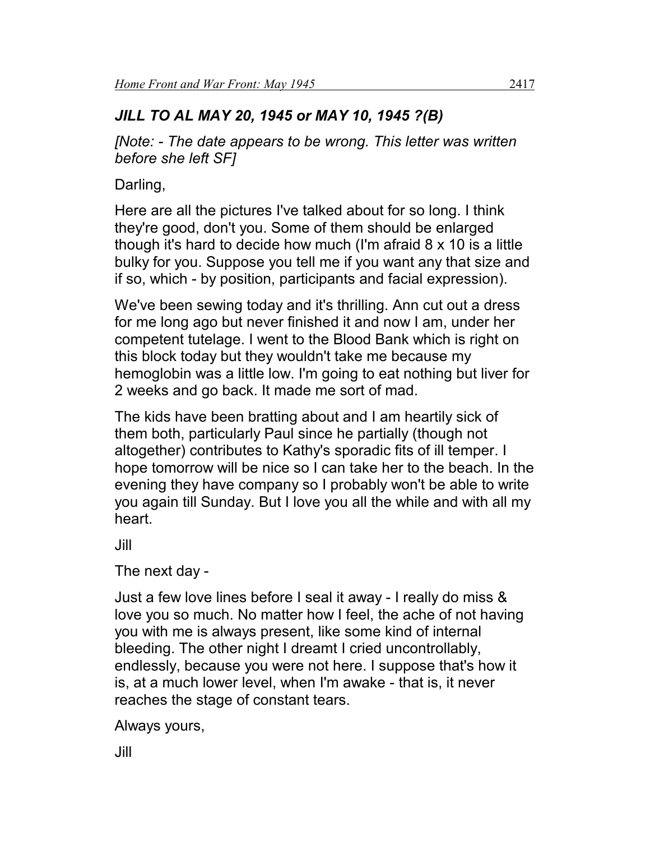# *JILL TO AL MAY 20, 1945 or MAY 10, 1945 ?(B)*

*[Note: - The date appears to be wrong. This letter was written before she left SF]*

Darling,

Here are all the pictures I've talked about for so long. I think they're good, don't you. Some of them should be enlarged though it's hard to decide how much (I'm afraid 8 x 10 is a little bulky for you. Suppose you tell me if you want any that size and if so, which - by position, participants and facial expression).

We've been sewing today and it's thrilling. Ann cut out a dress for me long ago but never finished it and now I am, under her competent tutelage. I went to the Blood Bank which is right on this block today but they wouldn't take me because my hemoglobin was a little low. I'm going to eat nothing but liver for 2 weeks and go back. It made me sort of mad.

The kids have been bratting about and I am heartily sick of them both, particularly Paul since he partially (though not altogether) contributes to Kathy's sporadic fits of ill temper. I hope tomorrow will be nice so I can take her to the beach. In the evening they have company so I probably won't be able to write you again till Sunday. But I love you all the while and with all my heart.

Jill

The next day -

Just a few love lines before I seal it away - I really do miss & love you so much. No matter how I feel, the ache of not having you with me is always present, like some kind of internal bleeding. The other night I dreamt I cried uncontrollably, endlessly, because you were not here. I suppose that's how it is, at a much lower level, when I'm awake - that is, it never reaches the stage of constant tears.

Always yours,

Jill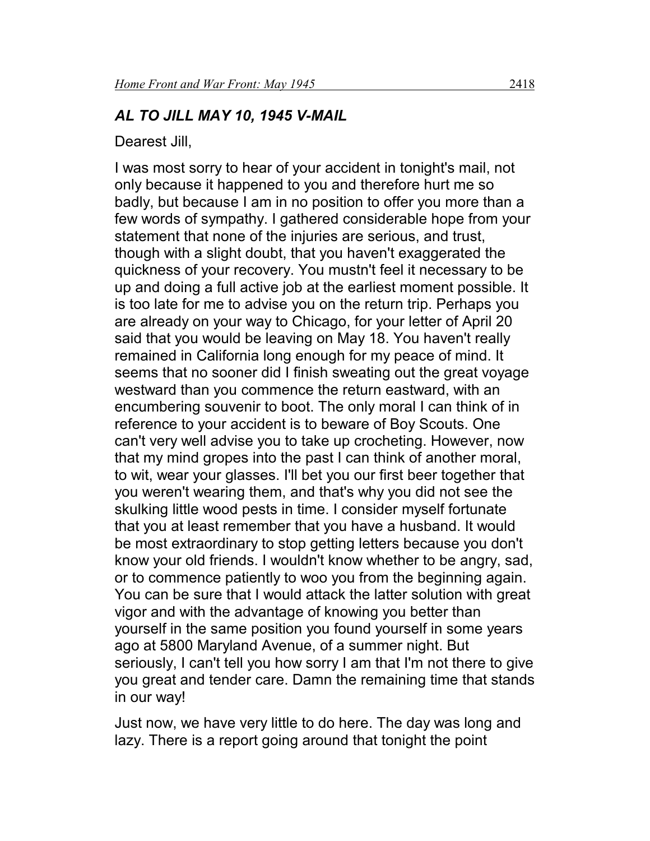#### *AL TO JILL MAY 10, 1945 V-MAIL*

Dearest Jill,

I was most sorry to hear of your accident in tonight's mail, not only because it happened to you and therefore hurt me so badly, but because I am in no position to offer you more than a few words of sympathy. I gathered considerable hope from your statement that none of the injuries are serious, and trust, though with a slight doubt, that you haven't exaggerated the quickness of your recovery. You mustn't feel it necessary to be up and doing a full active job at the earliest moment possible. It is too late for me to advise you on the return trip. Perhaps you are already on your way to Chicago, for your letter of April 20 said that you would be leaving on May 18. You haven't really remained in California long enough for my peace of mind. It seems that no sooner did I finish sweating out the great voyage westward than you commence the return eastward, with an encumbering souvenir to boot. The only moral I can think of in reference to your accident is to beware of Boy Scouts. One can't very well advise you to take up crocheting. However, now that my mind gropes into the past I can think of another moral, to wit, wear your glasses. I'll bet you our first beer together that you weren't wearing them, and that's why you did not see the skulking little wood pests in time. I consider myself fortunate that you at least remember that you have a husband. It would be most extraordinary to stop getting letters because you don't know your old friends. I wouldn't know whether to be angry, sad, or to commence patiently to woo you from the beginning again. You can be sure that I would attack the latter solution with great vigor and with the advantage of knowing you better than yourself in the same position you found yourself in some years ago at 5800 Maryland Avenue, of a summer night. But seriously, I can't tell you how sorry I am that I'm not there to give you great and tender care. Damn the remaining time that stands in our way!

Just now, we have very little to do here. The day was long and lazy. There is a report going around that tonight the point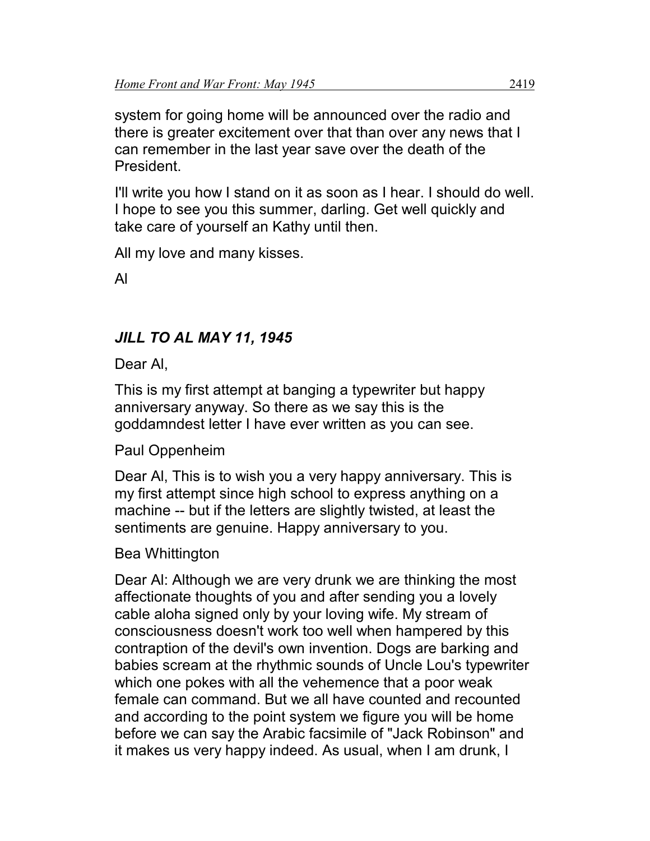system for going home will be announced over the radio and there is greater excitement over that than over any news that I can remember in the last year save over the death of the President.

I'll write you how I stand on it as soon as I hear. I should do well. I hope to see you this summer, darling. Get well quickly and take care of yourself an Kathy until then.

All my love and many kisses.

Al

## *JILL TO AL MAY 11, 1945*

Dear Al,

This is my first attempt at banging a typewriter but happy anniversary anyway. So there as we say this is the goddamndest letter I have ever written as you can see.

Paul Oppenheim

Dear Al, This is to wish you a very happy anniversary. This is my first attempt since high school to express anything on a machine -- but if the letters are slightly twisted, at least the sentiments are genuine. Happy anniversary to you.

Bea Whittington

Dear Al: Although we are very drunk we are thinking the most affectionate thoughts of you and after sending you a lovely cable aloha signed only by your loving wife. My stream of consciousness doesn't work too well when hampered by this contraption of the devil's own invention. Dogs are barking and babies scream at the rhythmic sounds of Uncle Lou's typewriter which one pokes with all the vehemence that a poor weak female can command. But we all have counted and recounted and according to the point system we figure you will be home before we can say the Arabic facsimile of "Jack Robinson" and it makes us very happy indeed. As usual, when I am drunk, I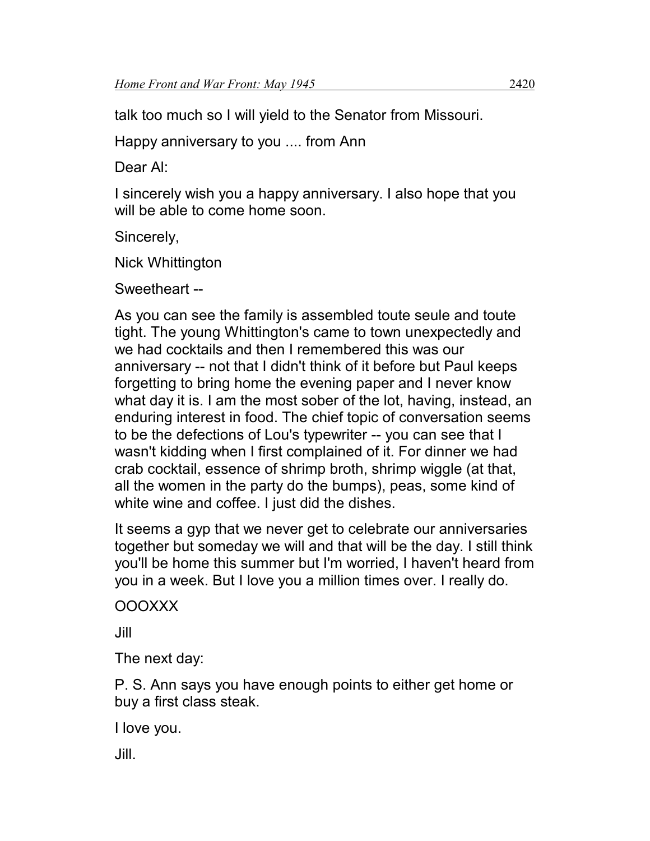talk too much so I will yield to the Senator from Missouri.

Happy anniversary to you .... from Ann

Dear Al:

I sincerely wish you a happy anniversary. I also hope that you will be able to come home soon.

Sincerely,

Nick Whittington

Sweetheart --

As you can see the family is assembled toute seule and toute tight. The young Whittington's came to town unexpectedly and we had cocktails and then I remembered this was our anniversary -- not that I didn't think of it before but Paul keeps forgetting to bring home the evening paper and I never know what day it is. I am the most sober of the lot, having, instead, an enduring interest in food. The chief topic of conversation seems to be the defections of Lou's typewriter -- you can see that I wasn't kidding when I first complained of it. For dinner we had crab cocktail, essence of shrimp broth, shrimp wiggle (at that, all the women in the party do the bumps), peas, some kind of white wine and coffee. I just did the dishes.

It seems a gyp that we never get to celebrate our anniversaries together but someday we will and that will be the day. I still think you'll be home this summer but I'm worried, I haven't heard from you in a week. But I love you a million times over. I really do.

OOOXXX

Jill

The next day:

P. S. Ann says you have enough points to either get home or buy a first class steak.

I love you.

Jill.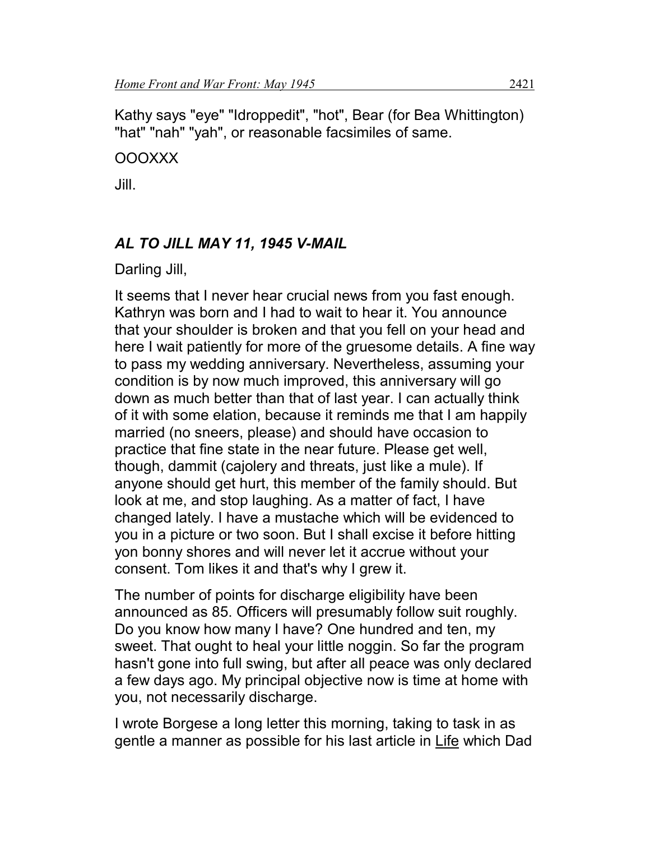Kathy says "eye" "Idroppedit", "hot", Bear (for Bea Whittington) "hat" "nah" "yah", or reasonable facsimiles of same.

#### OOOXXX

Jill.

## *AL TO JILL MAY 11, 1945 V-MAIL*

Darling Jill,

It seems that I never hear crucial news from you fast enough. Kathryn was born and I had to wait to hear it. You announce that your shoulder is broken and that you fell on your head and here I wait patiently for more of the gruesome details. A fine way to pass my wedding anniversary. Nevertheless, assuming your condition is by now much improved, this anniversary will go down as much better than that of last year. I can actually think of it with some elation, because it reminds me that I am happily married (no sneers, please) and should have occasion to practice that fine state in the near future. Please get well, though, dammit (cajolery and threats, just like a mule). If anyone should get hurt, this member of the family should. But look at me, and stop laughing. As a matter of fact, I have changed lately. I have a mustache which will be evidenced to you in a picture or two soon. But I shall excise it before hitting yon bonny shores and will never let it accrue without your consent. Tom likes it and that's why I grew it.

The number of points for discharge eligibility have been announced as 85. Officers will presumably follow suit roughly. Do you know how many I have? One hundred and ten, my sweet. That ought to heal your little noggin. So far the program hasn't gone into full swing, but after all peace was only declared a few days ago. My principal objective now is time at home with you, not necessarily discharge.

I wrote Borgese a long letter this morning, taking to task in as gentle a manner as possible for his last article in Life which Dad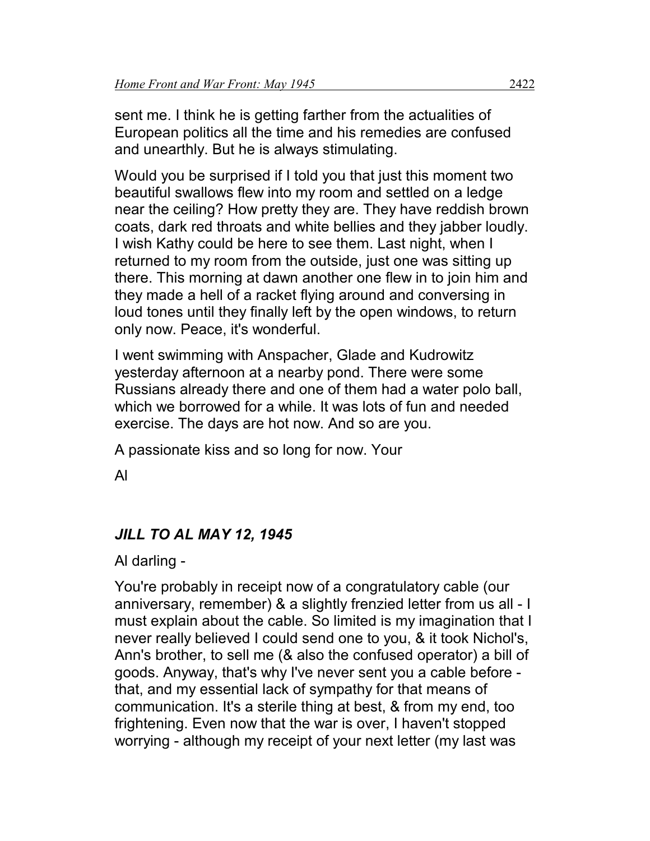sent me. I think he is getting farther from the actualities of European politics all the time and his remedies are confused and unearthly. But he is always stimulating.

Would you be surprised if I told you that just this moment two beautiful swallows flew into my room and settled on a ledge near the ceiling? How pretty they are. They have reddish brown coats, dark red throats and white bellies and they jabber loudly. I wish Kathy could be here to see them. Last night, when I returned to my room from the outside, just one was sitting up there. This morning at dawn another one flew in to join him and they made a hell of a racket flying around and conversing in loud tones until they finally left by the open windows, to return only now. Peace, it's wonderful.

I went swimming with Anspacher, Glade and Kudrowitz yesterday afternoon at a nearby pond. There were some Russians already there and one of them had a water polo ball, which we borrowed for a while. It was lots of fun and needed exercise. The days are hot now. And so are you.

A passionate kiss and so long for now. Your

Al

# *JILL TO AL MAY 12, 1945*

Al darling -

You're probably in receipt now of a congratulatory cable (our anniversary, remember) & a slightly frenzied letter from us all - I must explain about the cable. So limited is my imagination that I never really believed I could send one to you, & it took Nichol's, Ann's brother, to sell me (& also the confused operator) a bill of goods. Anyway, that's why I've never sent you a cable before that, and my essential lack of sympathy for that means of communication. It's a sterile thing at best, & from my end, too frightening. Even now that the war is over, I haven't stopped worrying - although my receipt of your next letter (my last was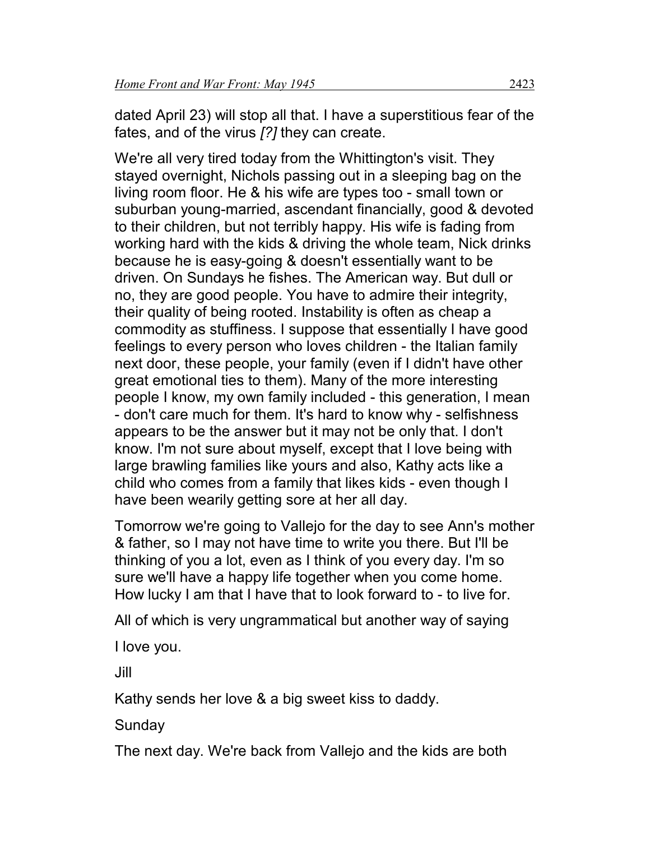dated April 23) will stop all that. I have a superstitious fear of the fates, and of the virus *[?]* they can create.

We're all very tired today from the Whittington's visit. They stayed overnight, Nichols passing out in a sleeping bag on the living room floor. He & his wife are types too - small town or suburban young-married, ascendant financially, good & devoted to their children, but not terribly happy. His wife is fading from working hard with the kids & driving the whole team, Nick drinks because he is easy-going & doesn't essentially want to be driven. On Sundays he fishes. The American way. But dull or no, they are good people. You have to admire their integrity, their quality of being rooted. Instability is often as cheap a commodity as stuffiness. I suppose that essentially I have good feelings to every person who loves children - the Italian family next door, these people, your family (even if I didn't have other great emotional ties to them). Many of the more interesting people I know, my own family included - this generation, I mean - don't care much for them. It's hard to know why - selfishness appears to be the answer but it may not be only that. I don't know. I'm not sure about myself, except that I love being with large brawling families like yours and also, Kathy acts like a child who comes from a family that likes kids - even though I have been wearily getting sore at her all day.

Tomorrow we're going to Vallejo for the day to see Ann's mother & father, so I may not have time to write you there. But I'll be thinking of you a lot, even as I think of you every day. I'm so sure we'll have a happy life together when you come home. How lucky I am that I have that to look forward to - to live for.

All of which is very ungrammatical but another way of saying

I love you.

Jill

Kathy sends her love & a big sweet kiss to daddy.

**Sunday** 

The next day. We're back from Vallejo and the kids are both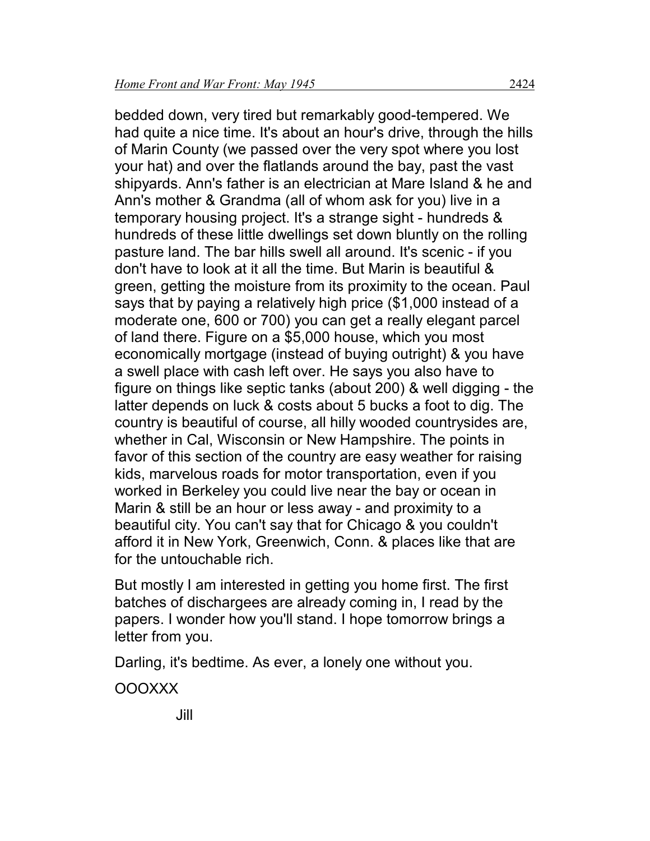bedded down, very tired but remarkably good-tempered. We had quite a nice time. It's about an hour's drive, through the hills of Marin County (we passed over the very spot where you lost your hat) and over the flatlands around the bay, past the vast shipyards. Ann's father is an electrician at Mare Island & he and Ann's mother & Grandma (all of whom ask for you) live in a temporary housing project. It's a strange sight - hundreds & hundreds of these little dwellings set down bluntly on the rolling pasture land. The bar hills swell all around. It's scenic - if you don't have to look at it all the time. But Marin is beautiful & green, getting the moisture from its proximity to the ocean. Paul says that by paying a relatively high price (\$1,000 instead of a moderate one, 600 or 700) you can get a really elegant parcel of land there. Figure on a \$5,000 house, which you most economically mortgage (instead of buying outright) & you have a swell place with cash left over. He says you also have to figure on things like septic tanks (about 200) & well digging - the latter depends on luck & costs about 5 bucks a foot to dig. The country is beautiful of course, all hilly wooded countrysides are, whether in Cal, Wisconsin or New Hampshire. The points in favor of this section of the country are easy weather for raising kids, marvelous roads for motor transportation, even if you worked in Berkeley you could live near the bay or ocean in Marin & still be an hour or less away - and proximity to a beautiful city. You can't say that for Chicago & you couldn't afford it in New York, Greenwich, Conn. & places like that are for the untouchable rich.

But mostly I am interested in getting you home first. The first batches of dischargees are already coming in, I read by the papers. I wonder how you'll stand. I hope tomorrow brings a letter from you.

Darling, it's bedtime. As ever, a lonely one without you.

OOOXXX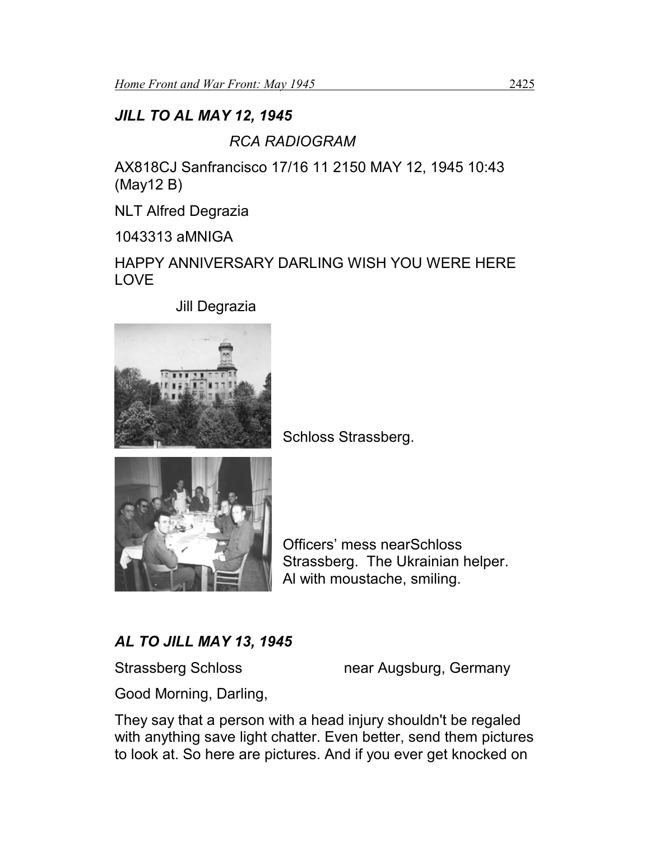# *JILL TO AL MAY 12, 1945*

# *RCA RADIOGRAM*

AX818CJ Sanfrancisco 17/16 11 2150 MAY 12, 1945 10:43 (May12 B)

NLT Alfred Degrazia

1043313 aMNIGA

HAPPY ANNIVERSARY DARLING WISH YOU WERE HERE LOVE

Jill Degrazia



Schloss Strassberg.



Officers' mess nearSchloss Strassberg. The Ukrainian helper. Al with moustache, smiling.

# *AL TO JILL MAY 13, 1945*

Strassberg Schloss near Augsburg, Germany

Good Morning, Darling,

They say that a person with a head injury shouldn't be regaled with anything save light chatter. Even better, send them pictures to look at. So here are pictures. And if you ever get knocked on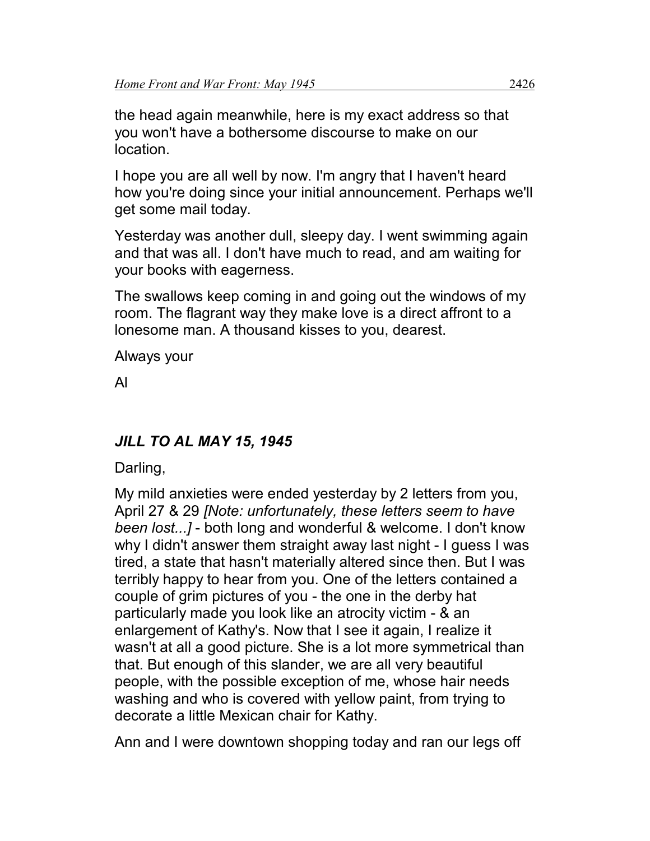the head again meanwhile, here is my exact address so that you won't have a bothersome discourse to make on our location.

I hope you are all well by now. I'm angry that I haven't heard how you're doing since your initial announcement. Perhaps we'll get some mail today.

Yesterday was another dull, sleepy day. I went swimming again and that was all. I don't have much to read, and am waiting for your books with eagerness.

The swallows keep coming in and going out the windows of my room. The flagrant way they make love is a direct affront to a lonesome man. A thousand kisses to you, dearest.

Always your

Al

# *JILL TO AL MAY 15, 1945*

Darling,

My mild anxieties were ended yesterday by 2 letters from you, April 27 & 29 *[Note: unfortunately, these letters seem to have been lost...]* - both long and wonderful & welcome. I don't know why I didn't answer them straight away last night - I guess I was tired, a state that hasn't materially altered since then. But I was terribly happy to hear from you. One of the letters contained a couple of grim pictures of you - the one in the derby hat particularly made you look like an atrocity victim - & an enlargement of Kathy's. Now that I see it again, I realize it wasn't at all a good picture. She is a lot more symmetrical than that. But enough of this slander, we are all very beautiful people, with the possible exception of me, whose hair needs washing and who is covered with yellow paint, from trying to decorate a little Mexican chair for Kathy.

Ann and I were downtown shopping today and ran our legs off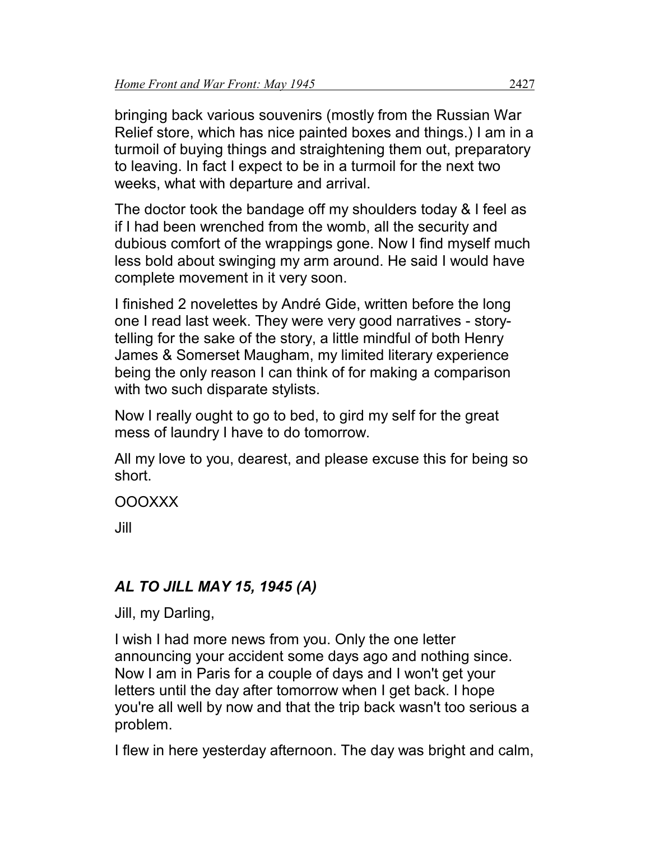bringing back various souvenirs (mostly from the Russian War Relief store, which has nice painted boxes and things.) I am in a turmoil of buying things and straightening them out, preparatory to leaving. In fact I expect to be in a turmoil for the next two weeks, what with departure and arrival.

The doctor took the bandage off my shoulders today & I feel as if I had been wrenched from the womb, all the security and dubious comfort of the wrappings gone. Now I find myself much less bold about swinging my arm around. He said I would have complete movement in it very soon.

I finished 2 novelettes by André Gide, written before the long one I read last week. They were very good narratives - storytelling for the sake of the story, a little mindful of both Henry James & Somerset Maugham, my limited literary experience being the only reason I can think of for making a comparison with two such disparate stylists.

Now I really ought to go to bed, to gird my self for the great mess of laundry I have to do tomorrow.

All my love to you, dearest, and please excuse this for being so short.

OOOXXX

Jill

# *AL TO JILL MAY 15, 1945 (A)*

Jill, my Darling,

I wish I had more news from you. Only the one letter announcing your accident some days ago and nothing since. Now I am in Paris for a couple of days and I won't get your letters until the day after tomorrow when I get back. I hope you're all well by now and that the trip back wasn't too serious a problem.

I flew in here yesterday afternoon. The day was bright and calm,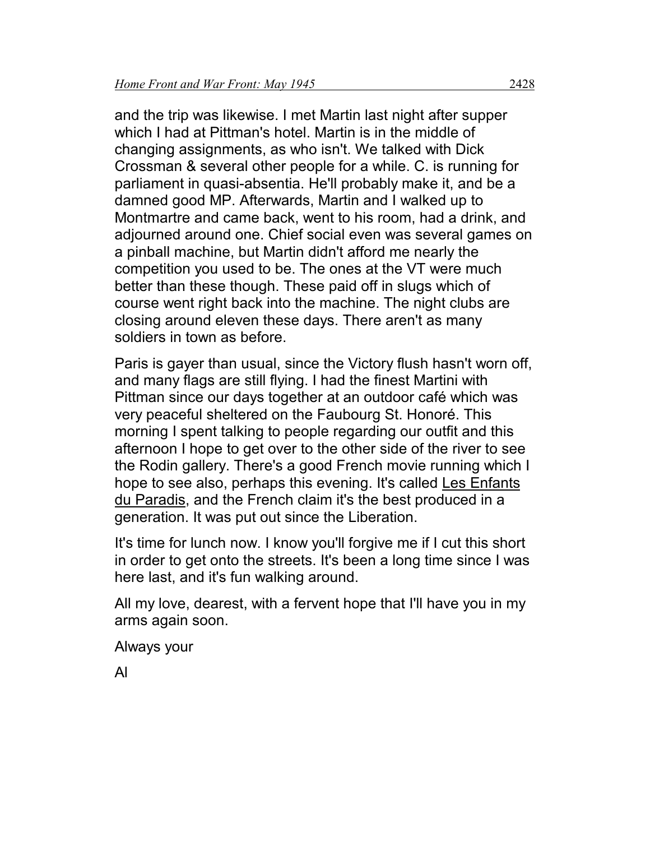and the trip was likewise. I met Martin last night after supper which I had at Pittman's hotel. Martin is in the middle of changing assignments, as who isn't. We talked with Dick Crossman & several other people for a while. C. is running for parliament in quasi-absentia. He'll probably make it, and be a damned good MP. Afterwards, Martin and I walked up to Montmartre and came back, went to his room, had a drink, and adjourned around one. Chief social even was several games on a pinball machine, but Martin didn't afford me nearly the competition you used to be. The ones at the VT were much better than these though. These paid off in slugs which of course went right back into the machine. The night clubs are closing around eleven these days. There aren't as many soldiers in town as before.

Paris is gayer than usual, since the Victory flush hasn't worn off, and many flags are still flying. I had the finest Martini with Pittman since our days together at an outdoor café which was very peaceful sheltered on the Faubourg St. Honoré. This morning I spent talking to people regarding our outfit and this afternoon I hope to get over to the other side of the river to see the Rodin gallery. There's a good French movie running which I hope to see also, perhaps this evening. It's called Les Enfants du Paradis, and the French claim it's the best produced in a generation. It was put out since the Liberation.

It's time for lunch now. I know you'll forgive me if I cut this short in order to get onto the streets. It's been a long time since I was here last, and it's fun walking around.

All my love, dearest, with a fervent hope that I'll have you in my arms again soon.

Always your

Al